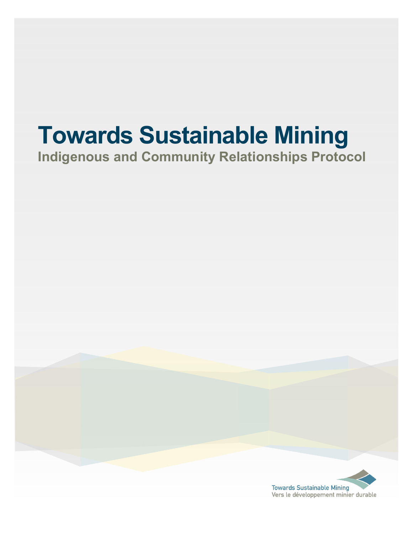# **Towards Sustainable Mining**

## **Indigenous and Community Relationships Protocol**

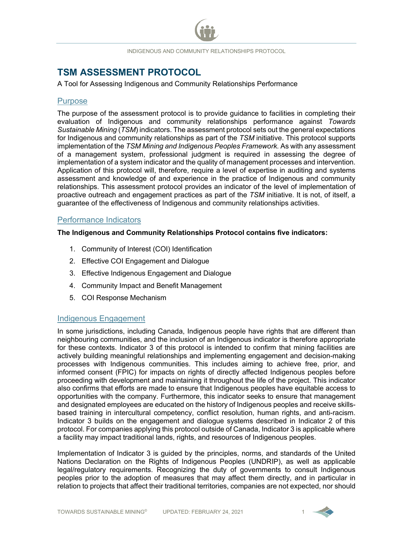**TSM ASSESSMENT PROTOCOL**<br>A Tool for Assessing Indigenous and Community Relationships Performance

#### **Purpose**

The purpose of the assessment protocol is to provide guidance to facilities in completing their evaluation of Indigenous and community relationships performance against *Towards Sustainable Mining* (*TSM*) indicators. The assessment protocol sets out the general expectations for Indigenous and community relationships as part of the *TSM* initiative. This protocol supports implementation of the *TSM Mining and Indigenous Peoples Framework.* As with any assessment of a management system, professional judgment is required in assessing the degree of implementation of a system indicator and the quality of management processes and intervention. Application of this protocol will, therefore, require a level of expertise in auditing and systems assessment and knowledge of and experience in the practice of Indigenous and community relationships. This assessment protocol provides an indicator of the level of implementation of proactive outreach and engagement practices as part of the *TSM* initiative. It is not, of itself, a guarantee of the effectiveness of Indigenous and community relationships activities.

#### Performance Indicators

**The Indigenous and Community Relationships Protocol contains five indicators:**

- 1. Community of Interest (COI) Identification
- 2. Effective COI Engagement and Dialogue
- 3. Effective Indigenous Engagement and Dialogue
- 4. Community Impact and Benefit Management
- 5. COI Response Mechanism

#### Indigenous Engagement

In some jurisdictions, including Canada, Indigenous people have rights that are different than neighbouring communities, and the inclusion of an Indigenous indicator is therefore appropriate for these contexts. Indicator 3 of this protocol is intended to confirm that mining facilities are actively building meaningful relationships and implementing engagement and decision-making processes with Indigenous communities. This includes aiming to achieve free, prior, and informed consent (FPIC) for impacts on rights of directly affected Indigenous peoples before proceeding with development and maintaining it throughout the life of the project. This indicator also confirms that efforts are made to ensure that Indigenous peoples have equitable access to opportunities with the company. Furthermore, this indicator seeks to ensure that management and designated employees are educated on the history of Indigenous peoples and receive skillsbased training in intercultural competency, conflict resolution, human rights, and anti-racism. Indicator 3 builds on the engagement and dialogue systems described in Indicator 2 of this protocol. For companies applying this protocol outside of Canada, Indicator 3 is applicable where a facility may impact traditional lands, rights, and resources of Indigenous peoples.

Implementation of Indicator 3 is guided by the principles, norms, and standards of the United Nations Declaration on the Rights of Indigenous Peoples (UNDRIP), as well as applicable legal/regulatory requirements. Recognizing the duty of governments to consult Indigenous peoples prior to the adoption of measures that may affect them directly, and in particular in relation to projects that affect their traditional territories, companies are not expected, nor should

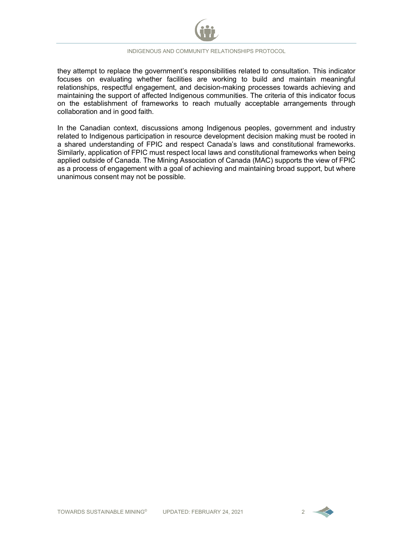

they attempt to replace the government's responsibilities related to consultation. This indicator focuses on evaluating whether facilities are working to build and maintain meaningful relationships, respectful engagement, and decision-making processes towards achieving and maintaining the support of affected Indigenous communities. The criteria of this indicator focus on the establishment of frameworks to reach mutually acceptable arrangements through collaboration and in good faith.

In the Canadian context, discussions among Indigenous peoples, government and industry related to Indigenous participation in resource development decision making must be rooted in a shared understanding of FPIC and respect Canada's laws and constitutional frameworks. Similarly, application of FPIC must respect local laws and constitutional frameworks when being applied outside of Canada. The Mining Association of Canada (MAC) supports the view of FPIC as a process of engagement with a goal of achieving and maintaining broad support, but where unanimous consent may not be possible.

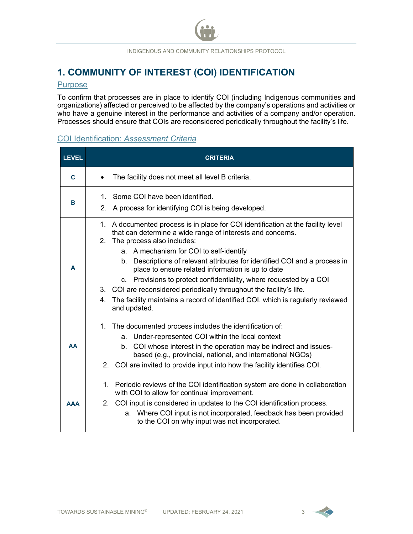## **1. COMMUNITY OF INTEREST (COI) IDENTIFICATION**

#### **Purpose**

To confirm that processes are in place to identify COI (including Indigenous communities and organizations) affected or perceived to be affected by the company's operations and activities or who have a genuine interest in the performance and activities of a company and/or operation. Processes should ensure that COIs are reconsidered periodically throughout the facility's life.

#### COI Identification: *Assessment Criteria*

| <b>LEVEL</b> | <b>CRITERIA</b>                                                                                                                                                                                                                                                                                                                                                                                                                                                                                                                                                                                                  |
|--------------|------------------------------------------------------------------------------------------------------------------------------------------------------------------------------------------------------------------------------------------------------------------------------------------------------------------------------------------------------------------------------------------------------------------------------------------------------------------------------------------------------------------------------------------------------------------------------------------------------------------|
| C            | The facility does not meet all level B criteria.                                                                                                                                                                                                                                                                                                                                                                                                                                                                                                                                                                 |
| в            | 1. Some COI have been identified.<br>2. A process for identifying COI is being developed.                                                                                                                                                                                                                                                                                                                                                                                                                                                                                                                        |
| A            | 1. A documented process is in place for COI identification at the facility level<br>that can determine a wide range of interests and concerns.<br>2. The process also includes:<br>a. A mechanism for COI to self-identify<br>b. Descriptions of relevant attributes for identified COI and a process in<br>place to ensure related information is up to date<br>c. Provisions to protect confidentiality, where requested by a COI<br>3. COI are reconsidered periodically throughout the facility's life.<br>4. The facility maintains a record of identified COI, which is regularly reviewed<br>and updated. |
| AA           | 1. The documented process includes the identification of:<br>a. Under-represented COI within the local context<br>b. COI whose interest in the operation may be indirect and issues-<br>based (e.g., provincial, national, and international NGOs)<br>2. COI are invited to provide input into how the facility identifies COI.                                                                                                                                                                                                                                                                                  |
| ΔΔΑ          | 1. Periodic reviews of the COI identification system are done in collaboration<br>with COI to allow for continual improvement.<br>2. COI input is considered in updates to the COI identification process.<br>a. Where COI input is not incorporated, feedback has been provided<br>to the COI on why input was not incorporated.                                                                                                                                                                                                                                                                                |

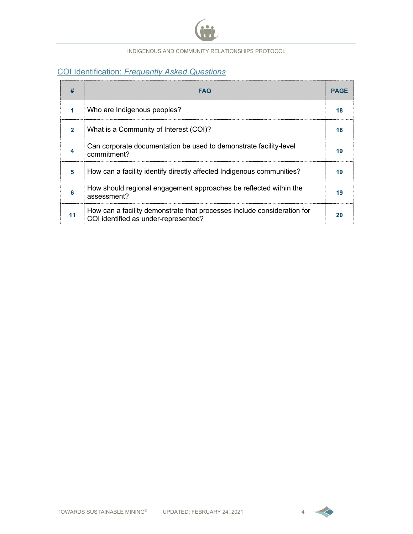

## COI Identification: *Frequently Asked Questions*

|    | FAQ                                                                                                             | PAGE |
|----|-----------------------------------------------------------------------------------------------------------------|------|
|    | Who are Indigenous peoples?                                                                                     |      |
|    | What is a Community of Interest (COI)?                                                                          |      |
|    | Can corporate documentation be used to demonstrate facility-level<br>commitment?                                | 19   |
| 5  | How can a facility identify directly affected Indigenous communities?                                           | 19   |
| 6  | How should regional engagement approaches be reflected within the<br>assessment?                                | 19   |
| 11 | How can a facility demonstrate that processes include consideration for<br>COI identified as under-represented? |      |

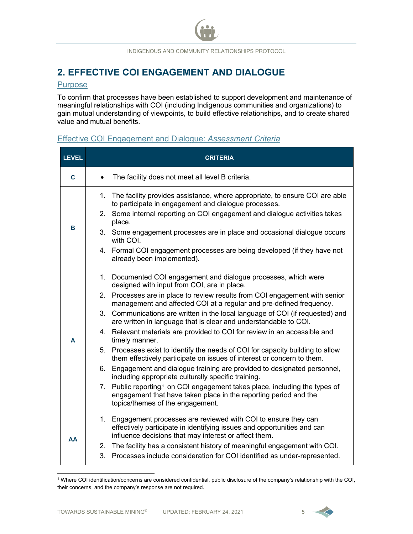## **2. EFFECTIVE COI ENGAGEMENT AND DIALOGUE**

#### Purpose

To confirm that processes have been established to support development and maintenance of meaningful relationships with COI (including Indigenous communities and organizations) to gain mutual understanding of viewpoints, to build effective relationships, and to create shared value and mutual benefits.

## Effective COI Engagement and Dialogue: *Assessment Criteria*

| <b>LEVEL</b> | <b>CRITERIA</b>                                                                                                                                                                                                      |  |  |
|--------------|----------------------------------------------------------------------------------------------------------------------------------------------------------------------------------------------------------------------|--|--|
| $\mathbf{C}$ | The facility does not meet all level B criteria.<br>$\bullet$                                                                                                                                                        |  |  |
|              | 1. The facility provides assistance, where appropriate, to ensure COI are able<br>to participate in engagement and dialogue processes.<br>2. Some internal reporting on COI engagement and dialogue activities takes |  |  |
| В            | place.<br>3. Some engagement processes are in place and occasional dialogue occurs                                                                                                                                   |  |  |
|              | with COI.<br>4. Formal COI engagement processes are being developed (if they have not<br>already been implemented).                                                                                                  |  |  |
|              | 1. Documented COI engagement and dialogue processes, which were<br>designed with input from COI, are in place.                                                                                                       |  |  |
|              | 2. Processes are in place to review results from COI engagement with senior<br>management and affected COI at a regular and pre-defined frequency.                                                                   |  |  |
|              | 3. Communications are written in the local language of COI (if requested) and<br>are written in language that is clear and understandable to COI.                                                                    |  |  |
| A            | 4. Relevant materials are provided to COI for review in an accessible and<br>timely manner.                                                                                                                          |  |  |
|              | 5. Processes exist to identify the needs of COI for capacity building to allow<br>them effectively participate on issues of interest or concern to them.                                                             |  |  |
|              | 6. Engagement and dialogue training are provided to designated personnel,<br>including appropriate culturally specific training.                                                                                     |  |  |
|              | 7. Public reporting. <sup>1</sup> on COI engagement takes place, including the types of<br>engagement that have taken place in the reporting period and the<br>topics/themes of the engagement.                      |  |  |
| AA           | 1. Engagement processes are reviewed with COI to ensure they can<br>effectively participate in identifying issues and opportunities and can<br>influence decisions that may interest or affect them.                 |  |  |
|              | 2. The facility has a consistent history of meaningful engagement with COI.<br>3. Processes include consideration for COI identified as under-represented.                                                           |  |  |

<span id="page-5-0"></span><sup>1</sup> Where COI identification/concerns are considered confidential, public disclosure of the company's relationship with the COI, their concerns, and the company's response are not required.

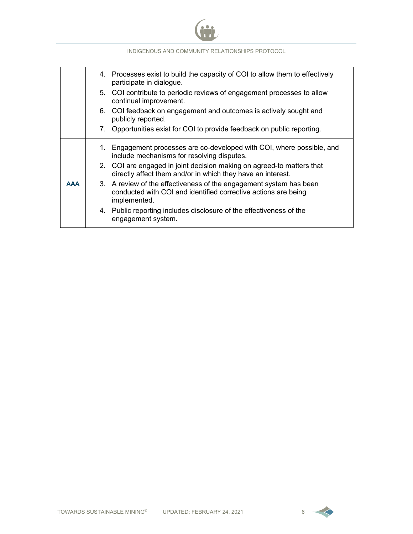

|            | 4. Processes exist to build the capacity of COI to allow them to effectively<br>participate in dialogue.                                             |
|------------|------------------------------------------------------------------------------------------------------------------------------------------------------|
|            | 5. COI contribute to periodic reviews of engagement processes to allow<br>continual improvement.                                                     |
|            | 6. COI feedback on engagement and outcomes is actively sought and<br>publicly reported.                                                              |
|            | 7. Opportunities exist for COI to provide feedback on public reporting.                                                                              |
|            | 1. Engagement processes are co-developed with COI, where possible, and<br>include mechanisms for resolving disputes.                                 |
| <b>AAA</b> | 2. COI are engaged in joint decision making on agreed-to matters that<br>directly affect them and/or in which they have an interest.                 |
|            | 3. A review of the effectiveness of the engagement system has been<br>conducted with COI and identified corrective actions are being<br>implemented. |
|            | 4. Public reporting includes disclosure of the effectiveness of the<br>engagement system.                                                            |

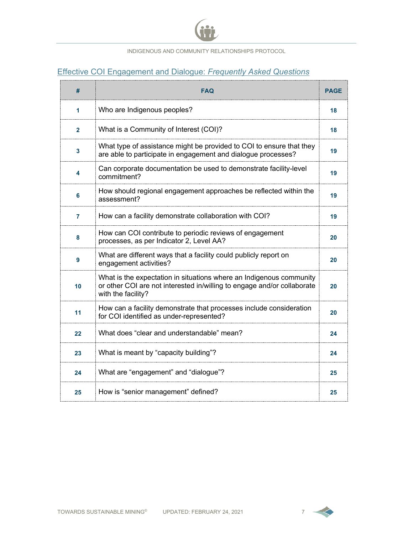

## Effective COI Engagement and Dialogue: *Frequently Asked Questions*

| #            | <b>FAQ</b>                                                                                                                                                           | <b>PAGE</b> |
|--------------|----------------------------------------------------------------------------------------------------------------------------------------------------------------------|-------------|
| 1            | Who are Indigenous peoples?                                                                                                                                          | 18          |
| $\mathbf{2}$ | What is a Community of Interest (COI)?                                                                                                                               | 18          |
| 3            | What type of assistance might be provided to COI to ensure that they<br>are able to participate in engagement and dialogue processes?                                | 19          |
| 4            | Can corporate documentation be used to demonstrate facility-level<br>commitment?                                                                                     | 19          |
| 6            | How should regional engagement approaches be reflected within the<br>assessment?                                                                                     | 19          |
| 7            | How can a facility demonstrate collaboration with COI?                                                                                                               | 19          |
| 8            | How can COI contribute to periodic reviews of engagement<br>processes, as per Indicator 2, Level AA?                                                                 | 20          |
| 9            | What are different ways that a facility could publicly report on<br>engagement activities?                                                                           | 20          |
| 10           | What is the expectation in situations where an Indigenous community<br>or other COI are not interested in/willing to engage and/or collaborate<br>with the facility? | 20          |
| 11           | How can a facility demonstrate that processes include consideration<br>for COI identified as under-represented?                                                      | 20          |
| 22           | What does "clear and understandable" mean?                                                                                                                           | 24          |
| 23           | What is meant by "capacity building"?                                                                                                                                | 24          |
| 24           | What are "engagement" and "dialogue"?                                                                                                                                | 25          |
| 25           | How is "senior management" defined?                                                                                                                                  | 25          |

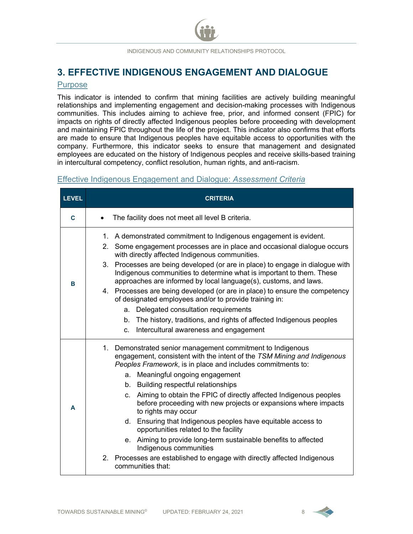## **3. EFFECTIVE INDIGENOUS ENGAGEMENT AND DIALOGUE**

#### Purpose

This indicator is intended to confirm that mining facilities are actively building meaningful relationships and implementing engagement and decision-making processes with Indigenous communities. This includes aiming to achieve free, prior, and informed consent (FPIC) for impacts on rights of directly affected Indigenous peoples before proceeding with development and maintaining FPIC throughout the life of the project. This indicator also confirms that efforts are made to ensure that Indigenous peoples have equitable access to opportunities with the company. Furthermore, this indicator seeks to ensure that management and designated employees are educated on the history of Indigenous peoples and receive skills-based training in intercultural competency, conflict resolution, human rights, and anti-racism.

#### Effective Indigenous Engagement and Dialogue: *Assessment Criteria*

| <b>LEVEL</b> | <b>CRITERIA</b>                                                                                                                                                                                                                                                                                                                                                                                                                                                                                                                                                                                                                                                                                                                                           |
|--------------|-----------------------------------------------------------------------------------------------------------------------------------------------------------------------------------------------------------------------------------------------------------------------------------------------------------------------------------------------------------------------------------------------------------------------------------------------------------------------------------------------------------------------------------------------------------------------------------------------------------------------------------------------------------------------------------------------------------------------------------------------------------|
| C            | The facility does not meet all level B criteria.                                                                                                                                                                                                                                                                                                                                                                                                                                                                                                                                                                                                                                                                                                          |
| B            | 1. A demonstrated commitment to Indigenous engagement is evident.<br>2. Some engagement processes are in place and occasional dialogue occurs<br>with directly affected Indigenous communities.<br>3. Processes are being developed (or are in place) to engage in dialogue with<br>Indigenous communities to determine what is important to them. These<br>approaches are informed by local language(s), customs, and laws.<br>4. Processes are being developed (or are in place) to ensure the competency<br>of designated employees and/or to provide training in:<br>a. Delegated consultation requirements<br>b. The history, traditions, and rights of affected Indigenous peoples<br>Intercultural awareness and engagement<br>C.                  |
| A            | 1. Demonstrated senior management commitment to Indigenous<br>engagement, consistent with the intent of the TSM Mining and Indigenous<br>Peoples Framework, is in place and includes commitments to:<br>a. Meaningful ongoing engagement<br>b. Building respectful relationships<br>c. Aiming to obtain the FPIC of directly affected Indigenous peoples<br>before proceeding with new projects or expansions where impacts<br>to rights may occur<br>d. Ensuring that Indigenous peoples have equitable access to<br>opportunities related to the facility<br>e. Aiming to provide long-term sustainable benefits to affected<br>Indigenous communities<br>2. Processes are established to engage with directly affected Indigenous<br>communities that: |

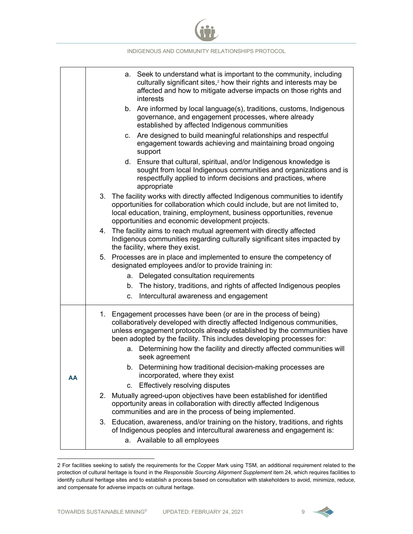|    | INDIGENOUS AND COMMUNITY RELATIONSHIPS PROTOCOL                                                                                                                                                                                                                                                    |
|----|----------------------------------------------------------------------------------------------------------------------------------------------------------------------------------------------------------------------------------------------------------------------------------------------------|
|    | a. Seek to understand what is important to the community, including<br>culturally significant sites, <sup>2</sup> how their rights and interests may be<br>affected and how to mitigate adverse impacts on those rights and<br>interests                                                           |
|    | b. Are informed by local language(s), traditions, customs, Indigenous<br>governance, and engagement processes, where already<br>established by affected Indigenous communities                                                                                                                     |
|    | c. Are designed to build meaningful relationships and respectful<br>engagement towards achieving and maintaining broad ongoing<br>support                                                                                                                                                          |
|    | d. Ensure that cultural, spiritual, and/or Indigenous knowledge is<br>sought from local Indigenous communities and organizations and is<br>respectfully applied to inform decisions and practices, where<br>appropriate                                                                            |
|    | 3. The facility works with directly affected Indigenous communities to identify<br>opportunities for collaboration which could include, but are not limited to,<br>local education, training, employment, business opportunities, revenue<br>opportunities and economic development projects.      |
|    | 4. The facility aims to reach mutual agreement with directly affected<br>Indigenous communities regarding culturally significant sites impacted by<br>the facility, where they exist.                                                                                                              |
|    | 5. Processes are in place and implemented to ensure the competency of<br>designated employees and/or to provide training in:                                                                                                                                                                       |
|    | Delegated consultation requirements<br>а.                                                                                                                                                                                                                                                          |
|    | b. The history, traditions, and rights of affected Indigenous peoples                                                                                                                                                                                                                              |
|    | Intercultural awareness and engagement<br>C.                                                                                                                                                                                                                                                       |
|    | 1. Engagement processes have been (or are in the process of being)<br>collaboratively developed with directly affected Indigenous communities,<br>unless engagement protocols already established by the communities have<br>been adopted by the facility. This includes developing processes for: |
|    | a. Determining how the facility and directly affected communities will<br>seek agreement                                                                                                                                                                                                           |
| AA | b. Determining how traditional decision-making processes are<br>incorporated, where they exist                                                                                                                                                                                                     |
|    | c. Effectively resolving disputes                                                                                                                                                                                                                                                                  |
|    | 2. Mutually agreed-upon objectives have been established for identified<br>opportunity areas in collaboration with directly affected Indigenous<br>communities and are in the process of being implemented.                                                                                        |
|    | 3. Education, awareness, and/or training on the history, traditions, and rights<br>of Indigenous peoples and intercultural awareness and engagement is:<br>a. Available to all employees                                                                                                           |

<span id="page-9-0"></span><sup>2</sup> For facilities seeking to satisfy the requirements for the Copper Mark using TSM, an additional requirement related to the protection of cultural heritage is found in the *Responsible Sourcing Alignment Supplement* item 24, which requires facilities to identify cultural heritage sites and to establish a process based on consultation with stakeholders to avoid, minimize, reduce, and compensate for adverse impacts on cultural heritage.

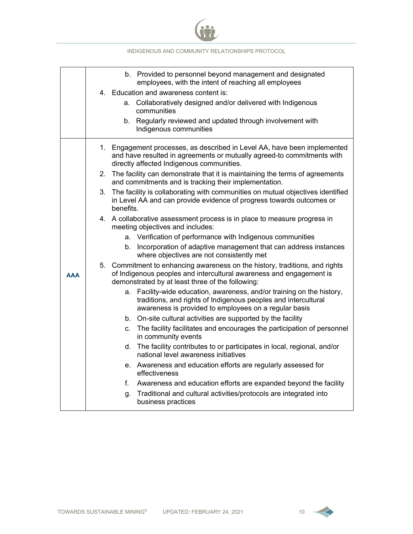

|            | b. Provided to personnel beyond management and designated<br>employees, with the intent of reaching all employees<br>4. Education and awareness content is:                                            |
|------------|--------------------------------------------------------------------------------------------------------------------------------------------------------------------------------------------------------|
|            | a. Collaboratively designed and/or delivered with Indigenous<br>communities                                                                                                                            |
|            | b. Regularly reviewed and updated through involvement with<br>Indigenous communities                                                                                                                   |
|            | 1. Engagement processes, as described in Level AA, have been implemented<br>and have resulted in agreements or mutually agreed-to commitments with<br>directly affected Indigenous communities.        |
|            | 2. The facility can demonstrate that it is maintaining the terms of agreements<br>and commitments and is tracking their implementation.                                                                |
|            | 3. The facility is collaborating with communities on mutual objectives identified<br>in Level AA and can provide evidence of progress towards outcomes or<br>benefits.                                 |
|            | 4. A collaborative assessment process is in place to measure progress in<br>meeting objectives and includes:                                                                                           |
|            | a. Verification of performance with Indigenous communities                                                                                                                                             |
|            | b. Incorporation of adaptive management that can address instances<br>where objectives are not consistently met                                                                                        |
| <b>AAA</b> | 5. Commitment to enhancing awareness on the history, traditions, and rights<br>of Indigenous peoples and intercultural awareness and engagement is<br>demonstrated by at least three of the following: |
|            | Facility-wide education, awareness, and/or training on the history,<br>a.<br>traditions, and rights of Indigenous peoples and intercultural<br>awareness is provided to employees on a regular basis   |
|            | b. On-site cultural activities are supported by the facility                                                                                                                                           |
|            | The facility facilitates and encourages the participation of personnel<br>C.<br>in community events                                                                                                    |
|            | The facility contributes to or participates in local, regional, and/or<br>d.<br>national level awareness initiatives                                                                                   |
|            | e. Awareness and education efforts are regularly assessed for<br>effectiveness                                                                                                                         |
|            | Awareness and education efforts are expanded beyond the facility<br>f.                                                                                                                                 |
|            | Traditional and cultural activities/protocols are integrated into<br>g.<br>business practices                                                                                                          |

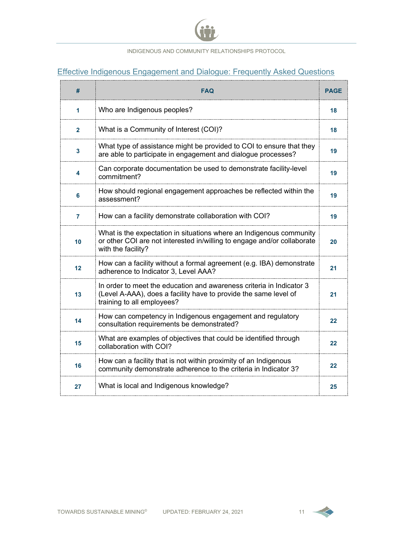

## Effective Indigenous Engagement and Dialogue: Frequently Asked Questions

| #            | <b>FAQ</b>                                                                                                                                                             | <b>PAGE</b>       |
|--------------|------------------------------------------------------------------------------------------------------------------------------------------------------------------------|-------------------|
| 1            | Who are Indigenous peoples?                                                                                                                                            | 18                |
| $\mathbf{2}$ | What is a Community of Interest (COI)?                                                                                                                                 | 18                |
| 3            | What type of assistance might be provided to COI to ensure that they<br>are able to participate in engagement and dialogue processes?                                  | 19                |
| 4            | Can corporate documentation be used to demonstrate facility-level<br>commitment?                                                                                       | 19                |
| 6            | How should regional engagement approaches be reflected within the<br>assessment?                                                                                       | 19                |
| 7            | How can a facility demonstrate collaboration with COI?                                                                                                                 | 19                |
| 10           | What is the expectation in situations where an Indigenous community<br>or other COI are not interested in/willing to engage and/or collaborate<br>with the facility?   | 20                |
| 12           | How can a facility without a formal agreement (e.g. IBA) demonstrate<br>adherence to Indicator 3, Level AAA?                                                           | 21                |
| 13           | In order to meet the education and awareness criteria in Indicator 3<br>(Level A-AAA), does a facility have to provide the same level of<br>training to all employees? | 21                |
| 14           | How can competency in Indigenous engagement and regulatory<br>consultation requirements be demonstrated?                                                               | 22                |
| 15           | What are examples of objectives that could be identified through<br>collaboration with COI?                                                                            | 22                |
| 16           | How can a facility that is not within proximity of an Indigenous<br>community demonstrate adherence to the criteria in Indicator 3?                                    | $22 \overline{)}$ |
| 27           | What is local and Indigenous knowledge?                                                                                                                                | 25                |

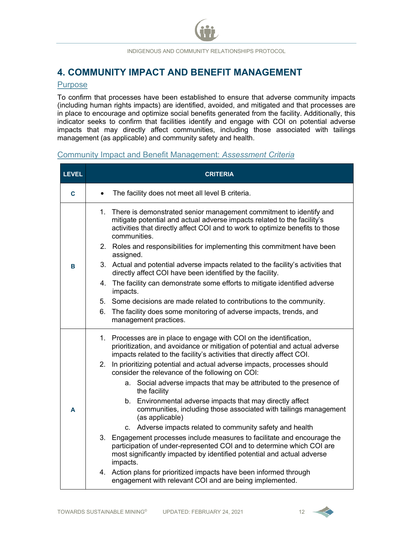## **4. COMMUNITY IMPACT AND BENEFIT MANAGEMENT**

#### Purpose

To confirm that processes have been established to ensure that adverse community impacts (including human rights impacts) are identified, avoided, and mitigated and that processes are in place to encourage and optimize social benefits generated from the facility. Additionally, this indicator seeks to confirm that facilities identify and engage with COI on potential adverse impacts that may directly affect communities, including those associated with tailings management (as applicable) and community safety and health.

#### Community Impact and Benefit Management: *Assessment Criteria*

| <b>LEVEL</b> |           | <b>CRITERIA</b>                                                                                                                                                                                                                                   |
|--------------|-----------|---------------------------------------------------------------------------------------------------------------------------------------------------------------------------------------------------------------------------------------------------|
| C            | $\bullet$ | The facility does not meet all level B criteria.                                                                                                                                                                                                  |
|              |           | 1. There is demonstrated senior management commitment to identify and<br>mitigate potential and actual adverse impacts related to the facility's<br>activities that directly affect COI and to work to optimize benefits to those<br>communities. |
|              |           | 2. Roles and responsibilities for implementing this commitment have been<br>assigned.                                                                                                                                                             |
| B            |           | 3. Actual and potential adverse impacts related to the facility's activities that<br>directly affect COI have been identified by the facility.                                                                                                    |
|              |           | 4. The facility can demonstrate some efforts to mitigate identified adverse<br>impacts.                                                                                                                                                           |
|              |           | 5. Some decisions are made related to contributions to the community.                                                                                                                                                                             |
|              |           | 6. The facility does some monitoring of adverse impacts, trends, and<br>management practices.                                                                                                                                                     |
|              |           | 1. Processes are in place to engage with COI on the identification,<br>prioritization, and avoidance or mitigation of potential and actual adverse<br>impacts related to the facility's activities that directly affect COI.                      |
|              |           | 2. In prioritizing potential and actual adverse impacts, processes should<br>consider the relevance of the following on COI:                                                                                                                      |
|              |           | a. Social adverse impacts that may be attributed to the presence of<br>the facility                                                                                                                                                               |
| A            |           | b. Environmental adverse impacts that may directly affect<br>communities, including those associated with tailings management<br>(as applicable)                                                                                                  |
|              |           | c. Adverse impacts related to community safety and health                                                                                                                                                                                         |
|              |           | 3. Engagement processes include measures to facilitate and encourage the<br>participation of under-represented COI and to determine which COI are<br>most significantly impacted by identified potential and actual adverse<br>impacts.           |
|              |           | 4. Action plans for prioritized impacts have been informed through<br>engagement with relevant COI and are being implemented.                                                                                                                     |

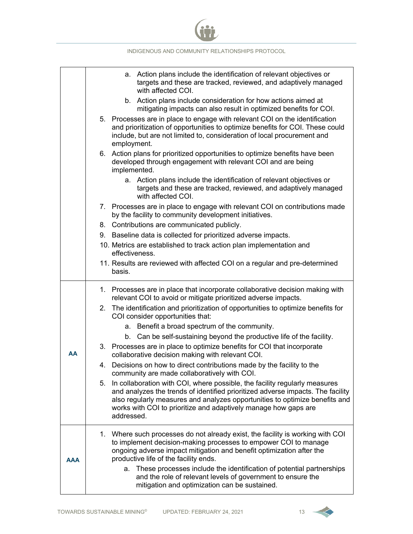|     |    | INDIGENOUS AND COMMUNITY RELATIONSHIPS PROTOCOL                                                                                                                                                                                                                                                                               |
|-----|----|-------------------------------------------------------------------------------------------------------------------------------------------------------------------------------------------------------------------------------------------------------------------------------------------------------------------------------|
|     |    | Action plans include the identification of relevant objectives or<br>а.<br>targets and these are tracked, reviewed, and adaptively managed<br>with affected COI.                                                                                                                                                              |
|     |    | b. Action plans include consideration for how actions aimed at<br>mitigating impacts can also result in optimized benefits for COI.                                                                                                                                                                                           |
|     |    | 5. Processes are in place to engage with relevant COI on the identification<br>and prioritization of opportunities to optimize benefits for COI. These could<br>include, but are not limited to, consideration of local procurement and<br>employment.                                                                        |
|     |    | 6. Action plans for prioritized opportunities to optimize benefits have been<br>developed through engagement with relevant COI and are being<br>implemented.                                                                                                                                                                  |
|     |    | a. Action plans include the identification of relevant objectives or<br>targets and these are tracked, reviewed, and adaptively managed<br>with affected COI.                                                                                                                                                                 |
|     |    | 7. Processes are in place to engage with relevant COI on contributions made<br>by the facility to community development initiatives.                                                                                                                                                                                          |
|     |    | 8. Contributions are communicated publicly.                                                                                                                                                                                                                                                                                   |
|     |    | 9. Baseline data is collected for prioritized adverse impacts.                                                                                                                                                                                                                                                                |
|     |    | 10. Metrics are established to track action plan implementation and<br>effectiveness.                                                                                                                                                                                                                                         |
|     |    | 11. Results are reviewed with affected COI on a regular and pre-determined<br>basis.                                                                                                                                                                                                                                          |
|     |    | 1. Processes are in place that incorporate collaborative decision making with<br>relevant COI to avoid or mitigate prioritized adverse impacts.                                                                                                                                                                               |
|     | 2. | The identification and prioritization of opportunities to optimize benefits for<br>COI consider opportunities that:                                                                                                                                                                                                           |
|     |    | Benefit a broad spectrum of the community.<br>а.                                                                                                                                                                                                                                                                              |
|     |    | b. Can be self-sustaining beyond the productive life of the facility.                                                                                                                                                                                                                                                         |
| AA  |    | 3. Processes are in place to optimize benefits for COI that incorporate<br>collaborative decision making with relevant COI.                                                                                                                                                                                                   |
|     |    | 4. Decisions on how to direct contributions made by the facility to the<br>community are made collaboratively with COI.                                                                                                                                                                                                       |
|     | 5. | In collaboration with COI, where possible, the facility regularly measures<br>and analyzes the trends of identified prioritized adverse impacts. The facility<br>also regularly measures and analyzes opportunities to optimize benefits and<br>works with COI to prioritize and adaptively manage how gaps are<br>addressed. |
| AAA |    | 1. Where such processes do not already exist, the facility is working with COI<br>to implement decision-making processes to empower COI to manage<br>ongoing adverse impact mitigation and benefit optimization after the<br>productive life of the facility ends.                                                            |
|     |    | These processes include the identification of potential partnerships<br>a.<br>and the role of relevant levels of government to ensure the<br>mitigation and optimization can be sustained.                                                                                                                                    |

.<br>101

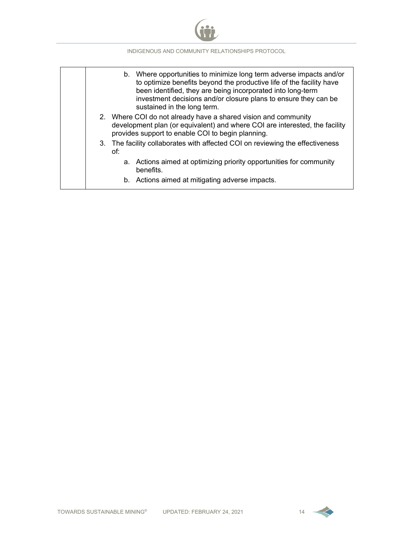

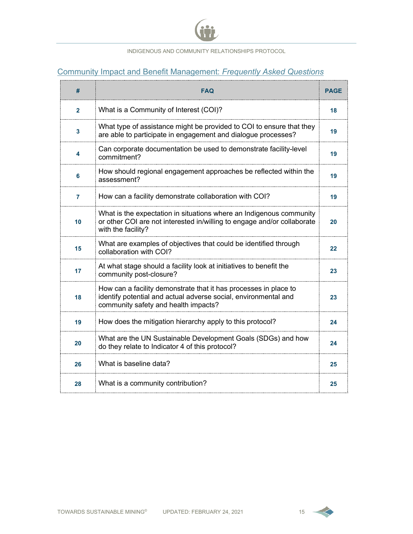

## Community Impact and Benefit Management: *Frequently Asked Questions*

| #            | <b>FAQ</b>                                                                                                                                                                  | <b>PAGE</b> |
|--------------|-----------------------------------------------------------------------------------------------------------------------------------------------------------------------------|-------------|
| $\mathbf{2}$ | What is a Community of Interest (COI)?                                                                                                                                      | 18          |
| 3            | What type of assistance might be provided to COI to ensure that they<br>are able to participate in engagement and dialogue processes?                                       | 19          |
| 4            | Can corporate documentation be used to demonstrate facility-level<br>commitment?                                                                                            | 19          |
| 6            | How should regional engagement approaches be reflected within the<br>assessment?                                                                                            | 19          |
| 7            | How can a facility demonstrate collaboration with COI?                                                                                                                      | 19          |
| 10           | What is the expectation in situations where an Indigenous community<br>or other COI are not interested in/willing to engage and/or collaborate<br>with the facility?        | 20          |
| 15           | What are examples of objectives that could be identified through<br>collaboration with COI?                                                                                 | 22          |
| 17           | At what stage should a facility look at initiatives to benefit the<br>community post-closure?                                                                               | 23          |
| 18           | How can a facility demonstrate that it has processes in place to<br>identify potential and actual adverse social, environmental and<br>community safety and health impacts? | 23          |
| 19           | How does the mitigation hierarchy apply to this protocol?                                                                                                                   | 24          |
| 20           | What are the UN Sustainable Development Goals (SDGs) and how<br>do they relate to Indicator 4 of this protocol?                                                             | 24          |
| 26           | What is baseline data?                                                                                                                                                      | 25          |
| 28           | What is a community contribution?                                                                                                                                           | 25          |

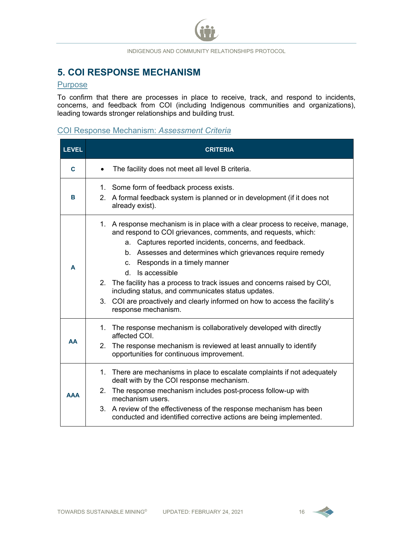## **5. COI RESPONSE MECHANISM**

#### **Purpose**

To confirm that there are processes in place to receive, track, and respond to incidents, concerns, and feedback from COI (including Indigenous communities and organizations), leading towards stronger relationships and building trust.

### COI Response Mechanism: *Assessment Criteria*

| <b>LEVEL</b> | <b>CRITERIA</b>                                                                                                                                                                                                                                                                                                                                                                                                                                                                                                                                                             |
|--------------|-----------------------------------------------------------------------------------------------------------------------------------------------------------------------------------------------------------------------------------------------------------------------------------------------------------------------------------------------------------------------------------------------------------------------------------------------------------------------------------------------------------------------------------------------------------------------------|
| <sub>C</sub> | The facility does not meet all level B criteria.<br>$\bullet$                                                                                                                                                                                                                                                                                                                                                                                                                                                                                                               |
| в            | 1. Some form of feedback process exists.<br>A formal feedback system is planned or in development (if it does not<br>$2^{\circ}$<br>already exist).                                                                                                                                                                                                                                                                                                                                                                                                                         |
| A            | 1. A response mechanism is in place with a clear process to receive, manage,<br>and respond to COI grievances, comments, and requests, which:<br>a. Captures reported incidents, concerns, and feedback.<br>b. Assesses and determines which grievances require remedy<br>Responds in a timely manner<br>C.<br>Is accessible<br>d.<br>2. The facility has a process to track issues and concerns raised by COI,<br>including status, and communicates status updates.<br>3. COI are proactively and clearly informed on how to access the facility's<br>response mechanism. |
| AA           | 1. The response mechanism is collaboratively developed with directly<br>affected COI.<br>2. The response mechanism is reviewed at least annually to identify<br>opportunities for continuous improvement.                                                                                                                                                                                                                                                                                                                                                                   |
| ΔΔΑ          | There are mechanisms in place to escalate complaints if not adequately<br>1.<br>dealt with by the COI response mechanism.<br>2. The response mechanism includes post-process follow-up with<br>mechanism users.<br>3. A review of the effectiveness of the response mechanism has been<br>conducted and identified corrective actions are being implemented.                                                                                                                                                                                                                |

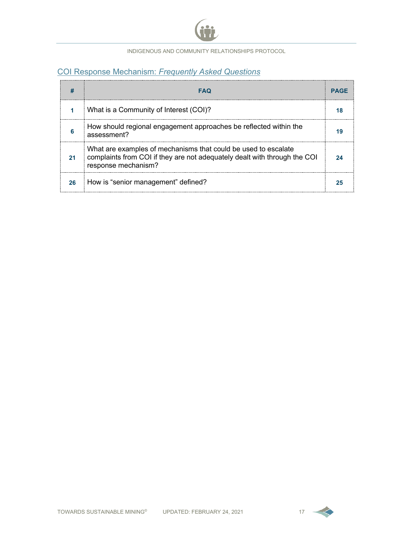

## COI Response Mechanism: *Frequently Asked Questions*

|    | FAQ                                                                                                                                                                | <b>PAGF</b> |
|----|--------------------------------------------------------------------------------------------------------------------------------------------------------------------|-------------|
|    | What is a Community of Interest (COI)?                                                                                                                             |             |
|    | How should regional engagement approaches be reflected within the<br>assessment?                                                                                   |             |
| 21 | What are examples of mechanisms that could be used to escalate<br>complaints from COI if they are not adequately dealt with through the COI<br>response mechanism? |             |
| 26 | How is "senior management" defined?                                                                                                                                |             |

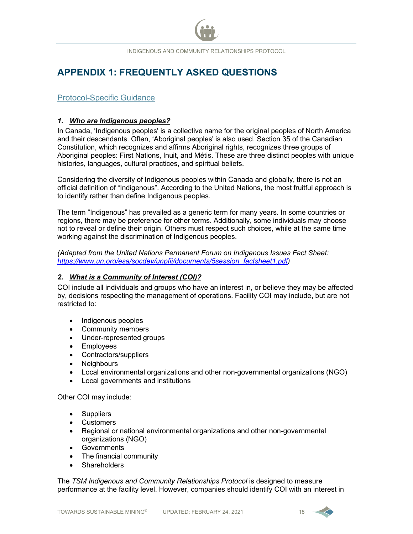## **APPENDIX 1: FREQUENTLY ASKED QUESTIONS**

#### Protocol-Specific Guidance

#### <span id="page-18-0"></span>*1. Who are Indigenous peoples?*

In Canada, 'Indigenous peoples' is a collective name for the original peoples of North America and their descendants. Often, 'Aboriginal peoples' is also used. Section 35 of the Canadian Constitution, which recognizes and affirms Aboriginal rights, recognizes three groups of Aboriginal peoples: First Nations, Inuit, and Métis. These are three distinct peoples with unique histories, languages, cultural practices, and spiritual beliefs.

Considering the diversity of Indigenous peoples within Canada and globally, there is not an official definition of "Indigenous". According to the United Nations, the most fruitful approach is to identify rather than define Indigenous peoples.

The term "Indigenous" has prevailed as a generic term for many years. In some countries or regions, there may be preference for other terms. Additionally, some individuals may choose not to reveal or define their origin. Others must respect such choices, while at the same time working against the discrimination of Indigenous peoples.

*(Adapted from the United Nations Permanent Forum on Indigenous Issues Fact Sheet: [https://www.un.org/esa/socdev/unpfii/documents/5session\\_factsheet1.pdf\)](https://www.un.org/esa/socdev/unpfii/documents/5session_factsheet1.pdf)*

#### <span id="page-18-1"></span>*2. What is a Community of Interest (COI)?*

COI include all individuals and groups who have an interest in, or believe they may be affected by, decisions respecting the management of operations. Facility COI may include, but are not restricted to:

- Indigenous peoples
- Community members
- Under-represented groups
- Employees
- Contractors/suppliers
- Neighbours
- Local environmental organizations and other non-governmental organizations (NGO)
- Local governments and institutions

Other COI may include:

- Suppliers
- Customers
- Regional or national environmental organizations and other non-governmental organizations (NGO)
- Governments
- The financial community
- **Shareholders**

The *TSM Indigenous and Community Relationships Protocol* is designed to measure performance at the facility level. However, companies should identify COI with an interest in

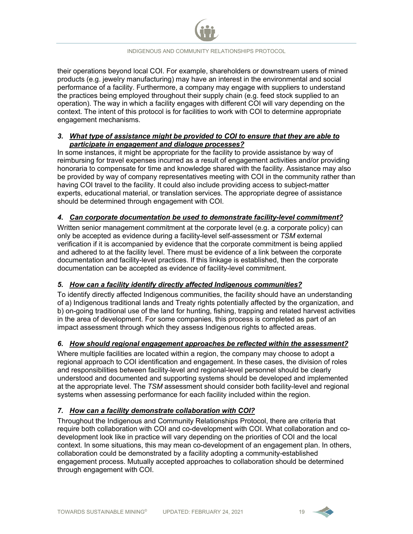their operations beyond local COI. For example, shareholders or downstream users of mined products (e.g. jewelry manufacturing) may have an interest in the environmental and social performance of a facility. Furthermore, a company may engage with suppliers to understand the practices being employed throughout their supply chain (e.g. feed stock supplied to an operation). The way in which a facility engages with different COI will vary depending on the context. The intent of this protocol is for facilities to work with COI to determine appropriate engagement mechanisms.

#### <span id="page-19-2"></span>*3. What type of assistance might be provided to COI to ensure that they are able to participate in engagement and dialogue processes?*

In some instances, it might be appropriate for the facility to provide assistance by way of reimbursing for travel expenses incurred as a result of engagement activities and/or providing honoraria to compensate for time and knowledge shared with the facility. Assistance may also be provided by way of company representatives meeting with COI in the community rather than having COI travel to the facility. It could also include providing access to subject-matter experts, educational material, or translation services. The appropriate degree of assistance should be determined through engagement with COI.

#### <span id="page-19-0"></span>*4. Can corporate documentation be used to demonstrate facility-level commitment?*

Written senior management commitment at the corporate level (e.g. a corporate policy) can only be accepted as evidence during a facility-level self-assessment or *TSM* external verification if it is accompanied by evidence that the corporate commitment is being applied and adhered to at the facility level. There must be evidence of a link between the corporate documentation and facility-level practices. If this linkage is established, then the corporate documentation can be accepted as evidence of facility-level commitment.

#### *5. How can a facility identify directly affected Indigenous communities?*

To identify directly affected Indigenous communities, the facility should have an understanding of a) Indigenous traditional lands and Treaty rights potentially affected by the organization, and b) on-going traditional use of the land for hunting, fishing, trapping and related harvest activities in the area of development. For some companies, this process is completed as part of an impact assessment through which they assess Indigenous rights to affected areas.

#### <span id="page-19-1"></span>*6. How should regional engagement approaches be reflected within the assessment?*

Where multiple facilities are located within a region, the company may choose to adopt a regional approach to COI identification and engagement. In these cases, the division of roles and responsibilities between facility-level and regional-level personnel should be clearly understood and documented and supporting systems should be developed and implemented at the appropriate level. The *TSM* assessment should consider both facility-level and regional systems when assessing performance for each facility included within the region.

#### <span id="page-19-3"></span>*7. How can a facility demonstrate collaboration with COI?*

Throughout the Indigenous and Community Relationships Protocol, there are criteria that require both collaboration with COI and co-development with COI. What collaboration and codevelopment look like in practice will vary depending on the priorities of COI and the local context. In some situations, this may mean co-development of an engagement plan. In others, collaboration could be demonstrated by a facility adopting a community-established engagement process. Mutually accepted approaches to collaboration should be determined through engagement with COI.

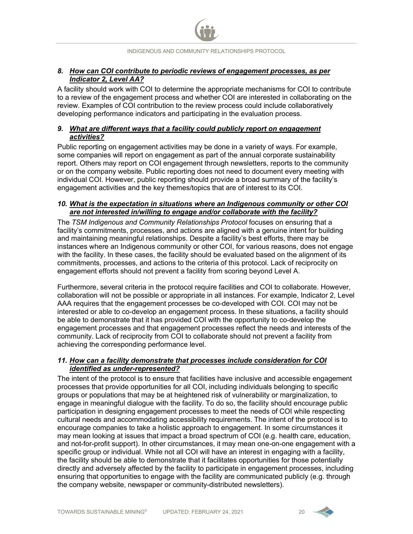#### <span id="page-20-1"></span>*8. How can COI contribute to periodic reviews of engagement processes, as per Indicator 2, Level AA?*

A facility should work with COI to determine the appropriate mechanisms for COI to contribute to a review of the engagement process and whether COI are interested in collaborating on the review. Examples of COI contribution to the review process could include collaboratively developing performance indicators and participating in the evaluation process.

#### <span id="page-20-2"></span>*9. What are different ways that a facility could publicly report on engagement activities?*

Public reporting on engagement activities may be done in a variety of ways. For example, some companies will report on engagement as part of the annual corporate sustainability report. Others may report on COI engagement through newsletters, reports to the community or on the company website. Public reporting does not need to document every meeting with individual COI. However, public reporting should provide a broad summary of the facility's engagement activities and the key themes/topics that are of interest to its COI.

#### <span id="page-20-3"></span>*10. What is the expectation in situations where an Indigenous community or other COI are not interested in/willing to engage and/or collaborate with the facility?*

The *TSM Indigenous and Community Relationships Protocol* focuses on ensuring that a facility's commitments, processes, and actions are aligned with a genuine intent for building and maintaining meaningful relationships. Despite a facility's best efforts, there may be instances where an Indigenous community or other COI, for various reasons, does not engage with the facility. In these cases, the facility should be evaluated based on the alignment of its commitments, processes, and actions to the criteria of this protocol. Lack of reciprocity on engagement efforts should not prevent a facility from scoring beyond Level A.

Furthermore, several criteria in the protocol require facilities and COI to collaborate. However, collaboration will not be possible or appropriate in all instances. For example, Indicator 2, Level AAA requires that the engagement processes be co-developed with COI. COI may not be interested or able to co-develop an engagement process. In these situations, a facility should be able to demonstrate that it has provided COI with the opportunity to co-develop the engagement processes and that engagement processes reflect the needs and interests of the community. Lack of reciprocity from COI to collaborate should not prevent a facility from achieving the corresponding performance level.

#### <span id="page-20-0"></span>*11. How can a facility demonstrate that processes include consideration for COI identified as under-represented?*

The intent of the protocol is to ensure that facilities have inclusive and accessible engagement processes that provide opportunities for all COI, including individuals belonging to specific groups or populations that may be at heightened risk of vulnerability or marginalization, to engage in meaningful dialogue with the facility. To do so, the facility should encourage public participation in designing engagement processes to meet the needs of COI while respecting cultural needs and accommodating accessibility requirements. The intent of the protocol is to encourage companies to take a holistic approach to engagement. In some circumstances it may mean looking at issues that impact a broad spectrum of COI (e.g. health care, education, and not-for-profit support). In other circumstances, it may mean one-on-one engagement with a specific group or individual. While not all COI will have an interest in engaging with a facility, the facility should be able to demonstrate that it facilitates opportunities for those potentially directly and adversely affected by the facility to participate in engagement processes, including ensuring that opportunities to engage with the facility are communicated publicly (e.g. through the company website, newspaper or community-distributed newsletters).

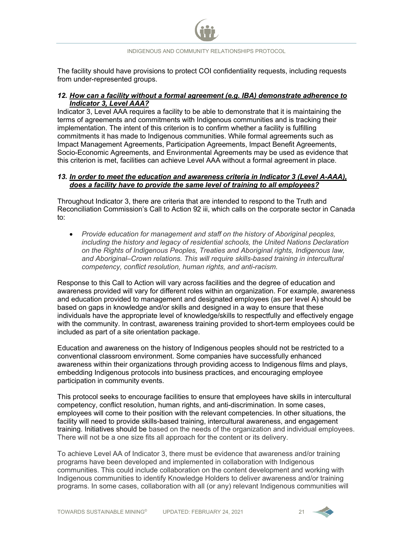The facility should have provisions to protect COI confidentiality requests, including requests from under-represented groups.

#### <span id="page-21-0"></span>*12. How can a facility without a formal agreement (e.g. IBA) demonstrate adherence to Indicator 3, Level AAA?*

Indicator 3, Level AAA requires a facility to be able to demonstrate that it is maintaining the terms of agreements and commitments with Indigenous communities and is tracking their implementation. The intent of this criterion is to confirm whether a facility is fulfilling commitments it has made to Indigenous communities. While formal agreements such as Impact Management Agreements, Participation Agreements, Impact Benefit Agreements, Socio-Economic Agreements, and Environmental Agreements may be used as evidence that this criterion is met, facilities can achieve Level AAA without a formal agreement in place.

#### <span id="page-21-1"></span>*13. In order to meet the education and awareness criteria in Indicator 3 (Level A-AAA), does a facility have to provide the same level of training to all employees?*

Throughout Indicator 3, there are criteria that are intended to respond to the Truth and Reconciliation Commission's Call to Action 92 iii, which calls on the corporate sector in Canada to:

• *Provide education for management and staff on the history of Aboriginal peoples, including the history and legacy of residential schools, the United Nations Declaration on the Rights of Indigenous Peoples, Treaties and Aboriginal rights, Indigenous law, and Aboriginal–Crown relations. This will require skills-based training in intercultural competency, conflict resolution, human rights, and anti-racism.*

Response to this Call to Action will vary across facilities and the degree of education and awareness provided will vary for different roles within an organization. For example, awareness and education provided to management and designated employees (as per level A) should be based on gaps in knowledge and/or skills and designed in a way to ensure that these individuals have the appropriate level of knowledge/skills to respectfully and effectively engage with the community. In contrast, awareness training provided to short-term employees could be included as part of a site orientation package.

Education and awareness on the history of Indigenous peoples should not be restricted to a conventional classroom environment. Some companies have successfully enhanced awareness within their organizations through providing access to Indigenous films and plays, embedding Indigenous protocols into business practices, and encouraging employee participation in community events.

This protocol seeks to encourage facilities to ensure that employees have skills in intercultural competency, conflict resolution, human rights, and anti-discrimination. In some cases, employees will come to their position with the relevant competencies. In other situations, the facility will need to provide skills-based training, intercultural awareness, and engagement training. Initiatives should be based on the needs of the organization and individual employees. There will not be a one size fits all approach for the content or its delivery.

To achieve Level AA of Indicator 3, there must be evidence that awareness and/or training programs have been developed and implemented in collaboration with Indigenous communities. This could include collaboration on the content development and working with Indigenous communities to identify Knowledge Holders to deliver awareness and/or training programs. In some cases, collaboration with all (or any) relevant Indigenous communities will

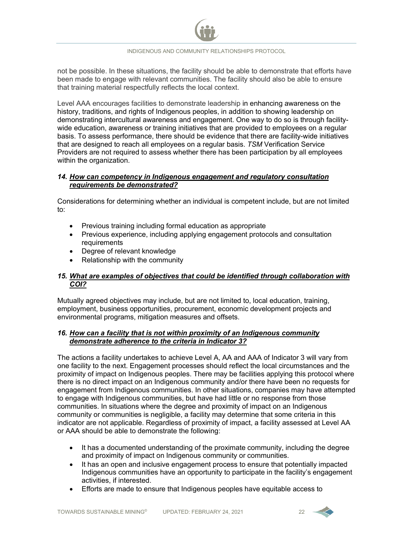not be possible. In these situations, the facility should be able to demonstrate that efforts have been made to engage with relevant communities. The facility should also be able to ensure that training material respectfully reflects the local context.

Level AAA encourages facilities to demonstrate leadership in enhancing awareness on the history, traditions, and rights of Indigenous peoples, in addition to showing leadership on demonstrating intercultural awareness and engagement. One way to do so is through facilitywide education, awareness or training initiatives that are provided to employees on a regular basis. To assess performance, there should be evidence that there are facility-wide initiatives that are designed to reach all employees on a regular basis. *TSM* Verification Service Providers are not required to assess whether there has been participation by all employees within the organization.

#### <span id="page-22-0"></span>*14. How can competency in Indigenous engagement and regulatory consultation requirements be demonstrated?*

Considerations for determining whether an individual is competent include, but are not limited to:

- Previous training including formal education as appropriate
- Previous experience, including applying engagement protocols and consultation requirements
- Degree of relevant knowledge
- Relationship with the community

#### <span id="page-22-1"></span>*15. What are examples of objectives that could be identified through collaboration with COI?*

Mutually agreed objectives may include, but are not limited to, local education, training, employment, business opportunities, procurement, economic development projects and environmental programs, mitigation measures and offsets.

#### <span id="page-22-2"></span>*16. How can a facility that is not within proximity of an Indigenous community demonstrate adherence to the criteria in Indicator 3?*

The actions a facility undertakes to achieve Level A, AA and AAA of Indicator 3 will vary from one facility to the next. Engagement processes should reflect the local circumstances and the proximity of impact on Indigenous peoples. There may be facilities applying this protocol where there is no direct impact on an Indigenous community and/or there have been no requests for engagement from Indigenous communities. In other situations, companies may have attempted to engage with Indigenous communities, but have had little or no response from those communities. In situations where the degree and proximity of impact on an Indigenous community or communities is negligible, a facility may determine that some criteria in this indicator are not applicable. Regardless of proximity of impact, a facility assessed at Level AA or AAA should be able to demonstrate the following:

- It has a documented understanding of the proximate community, including the degree and proximity of impact on Indigenous community or communities.
- It has an open and inclusive engagement process to ensure that potentially impacted Indigenous communities have an opportunity to participate in the facility's engagement activities, if interested.
- Efforts are made to ensure that Indigenous peoples have equitable access to

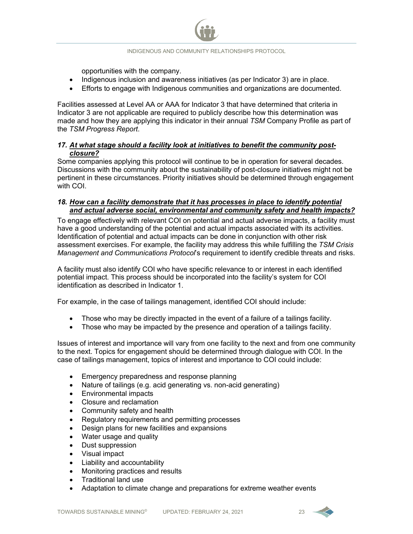opportunities with the company.

- Indigenous inclusion and awareness initiatives (as per Indicator 3) are in place.
- Efforts to engage with Indigenous communities and organizations are documented.

Facilities assessed at Level AA or AAA for Indicator 3 that have determined that criteria in Indicator 3 are not applicable are required to publicly describe how this determination was made and how they are applying this indicator in their annual *TSM* Company Profile as part of the *TSM Progress Report*.

#### <span id="page-23-0"></span>*17. At what stage should a facility look at initiatives to benefit the community postclosure?*

Some companies applying this protocol will continue to be in operation for several decades. Discussions with the community about the sustainability of post-closure initiatives might not be pertinent in these circumstances. Priority initiatives should be determined through engagement with COI.

#### <span id="page-23-1"></span>*18. How can a facility demonstrate that it has processes in place to identify potential and actual adverse social, environmental and community safety and health impacts?*

To engage effectively with relevant COI on potential and actual adverse impacts, a facility must have a good understanding of the potential and actual impacts associated with its activities. Identification of potential and actual impacts can be done in conjunction with other risk assessment exercises. For example, the facility may address this while fulfilling the *TSM Crisis Management and Communications Protocol*'s requirement to identify credible threats and risks.

A facility must also identify COI who have specific relevance to or interest in each identified potential impact. This process should be incorporated into the facility's system for COI identification as described in Indicator 1.

For example, in the case of tailings management, identified COI should include:

- Those who may be directly impacted in the event of a failure of a tailings facility.
- Those who may be impacted by the presence and operation of a tailings facility.

Issues of interest and importance will vary from one facility to the next and from one community to the next. Topics for engagement should be determined through dialogue with COI. In the case of tailings management, topics of interest and importance to COI could include:

- Emergency preparedness and response planning
- Nature of tailings (e.g. acid generating vs. non-acid generating)
- Environmental impacts
- Closure and reclamation
- Community safety and health
- Regulatory requirements and permitting processes
- Design plans for new facilities and expansions
- Water usage and quality
- Dust suppression
- Visual impact
- Liability and accountability
- Monitoring practices and results
- Traditional land use
- Adaptation to climate change and preparations for extreme weather events

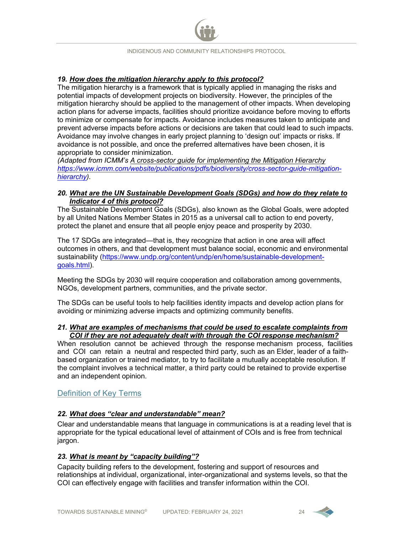#### <span id="page-24-2"></span>*19. How does the mitigation hierarchy apply to this protocol?*

The mitigation hierarchy is a framework that is typically applied in managing the risks and potential impacts of development projects on biodiversity. However, the principles of the mitigation hierarchy should be applied to the management of other impacts. When developing action plans for adverse impacts, facilities should prioritize avoidance before moving to efforts to minimize or compensate for impacts. Avoidance includes measures taken to anticipate and prevent adverse impacts before actions or decisions are taken that could lead to such impacts. Avoidance may involve changes in early project planning to 'design out' impacts or risks. If avoidance is not possible, and once the preferred alternatives have been chosen, it is appropriate to consider minimization.

*(Adapted from ICMM's A cross-sector guide for implementing the Mitigation Hierarchy [https://www.icmm.com/website/publications/pdfs/biodiversity/cross-sector-guide-mitigation](https://www.icmm.com/website/publications/pdfs/biodiversity/cross-sector-guide-mitigation-hierarchy)[hierarchy\)](https://www.icmm.com/website/publications/pdfs/biodiversity/cross-sector-guide-mitigation-hierarchy).*

#### <span id="page-24-3"></span>*20. What are the UN Sustainable Development Goals (SDGs) and how do they relate to Indicator 4 of this protocol?*

The Sustainable Development Goals (SDGs), also known as the Global Goals, were adopted by all United Nations Member States in 2015 as a universal call to action to end poverty, protect the planet and ensure that all people enjoy peace and prosperity by 2030.

The 17 SDGs are integrated—that is, they recognize that action in one area will affect outcomes in others, and that development must balance social, economic and environmental sustainability [\(https://www.undp.org/content/undp/en/home/sustainable-development](https://www.undp.org/content/undp/en/home/sustainable-development-goals.html)[goals.html\)](https://www.undp.org/content/undp/en/home/sustainable-development-goals.html).

Meeting the SDGs by 2030 will require cooperation and collaboration among governments, NGOs, development partners, communities, and the private sector.

The SDGs can be useful tools to help facilities identity impacts and develop action plans for avoiding or minimizing adverse impacts and optimizing community benefits.

#### <span id="page-24-4"></span>*21. What are examples of mechanisms that could be used to escalate complaints from COI if they are not adequately dealt with through the COI response mechanism?*

When resolution cannot be achieved through the response mechanism process, facilities and COI can retain a neutral and respected third party, such as an Elder, leader of a faithbased organization or trained mediator, to try to facilitate a mutually acceptable resolution. If the complaint involves a technical matter, a third party could be retained to provide expertise and an independent opinion.

#### Definition of Key Terms

#### <span id="page-24-0"></span>*22. What does "clear and understandable" mean?*

Clear and understandable means that language in communications is at a reading level that is appropriate for the typical educational level of attainment of COIs and is free from technical jargon.

#### <span id="page-24-1"></span>*23. What is meant by "capacity building"?*

Capacity building refers to the development, fostering and support of resources and relationships at individual, organizational, inter-organizational and systems levels, so that the COI can effectively engage with facilities and transfer information within the COI.

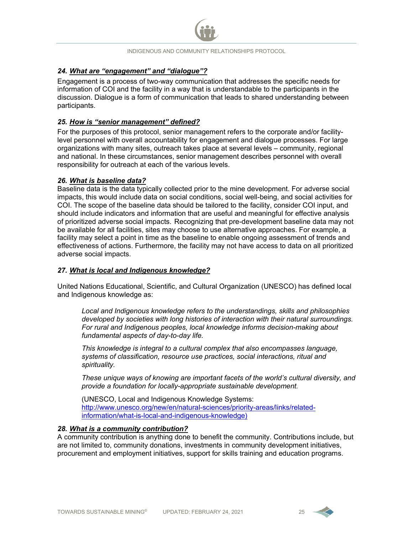#### <span id="page-25-0"></span>*24. What are "engagement" and "dialogue"?*

Engagement is a process of two-way communication that addresses the specific needs for information of COI and the facility in a way that is understandable to the participants in the discussion. Dialogue is a form of communication that leads to shared understanding between participants.

#### <span id="page-25-1"></span>*25. How is "senior management" defined?*

For the purposes of this protocol, senior management refers to the corporate and/or facilitylevel personnel with overall accountability for engagement and dialogue processes. For large organizations with many sites, outreach takes place at several levels – community, regional and national. In these circumstances, senior management describes personnel with overall responsibility for outreach at each of the various levels.

#### <span id="page-25-3"></span>*26. What is baseline data?*

Baseline data is the data typically collected prior to the mine development. For adverse social impacts, this would include data on social conditions, social well-being, and social activities for COI. The scope of the baseline data should be tailored to the facility, consider COI input, and should include indicators and information that are useful and meaningful for effective analysis of prioritized adverse social impacts. Recognizing that pre-development baseline data may not be available for all facilities, sites may choose to use alternative approaches. For example, a facility may select a point in time as the baseline to enable ongoing assessment of trends and effectiveness of actions. Furthermore, the facility may not have access to data on all prioritized adverse social impacts.

#### <span id="page-25-2"></span>*27. What is local and Indigenous knowledge?*

United Nations Educational, Scientific, and Cultural Organization (UNESCO) has defined local and Indigenous knowledge as:

*Local and Indigenous knowledge refers to the understandings, skills and philosophies developed by societies with long histories of interaction with their natural surroundings. For rural and Indigenous peoples, local knowledge informs decision-making about fundamental aspects of day-to-day life.* 

*This knowledge is integral to a cultural complex that also encompasses language, systems of classification, resource use practices, social interactions, ritual and spirituality.* 

*These unique ways of knowing are important facets of the world's cultural diversity, and provide a foundation for locally-appropriate sustainable development.*

(UNESCO, Local and Indigenous Knowledge Systems: [http://www.unesco.org/new/en/natural-sciences/priority-areas/links/related](http://www.unesco.org/new/en/natural-sciences/priority-areas/links/related-information/what-is-local-and-indigenous-knowledge)[information/what-is-local-and-indigenous-knowledge\)](http://www.unesco.org/new/en/natural-sciences/priority-areas/links/related-information/what-is-local-and-indigenous-knowledge)

#### *28. What is a community contribution?*

A community contribution is anything done to benefit the community. Contributions include, but are not limited to, community donations, investments in community development initiatives, procurement and employment initiatives, support for skills training and education programs.

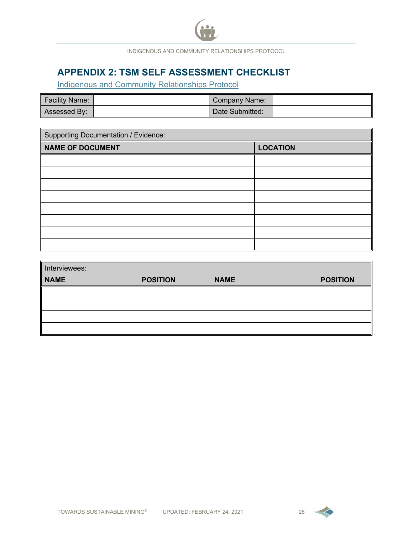

## **APPENDIX 2: TSM SELF ASSESSMENT CHECKLIST**

Indigenous and Community Relationships Protocol

| Facility Name: | Company Name:   |  |
|----------------|-----------------|--|
| Assessed By:   | Date Submitted: |  |

| <b>Supporting Documentation / Evidence:</b> |                 |  |  |  |  |  |
|---------------------------------------------|-----------------|--|--|--|--|--|
| <b>NAME OF DOCUMENT</b>                     | <b>LOCATION</b> |  |  |  |  |  |
|                                             |                 |  |  |  |  |  |
|                                             |                 |  |  |  |  |  |
|                                             |                 |  |  |  |  |  |
|                                             |                 |  |  |  |  |  |
|                                             |                 |  |  |  |  |  |
|                                             |                 |  |  |  |  |  |
|                                             |                 |  |  |  |  |  |
|                                             |                 |  |  |  |  |  |

| Interviewees: |                 |             |                 |  |  |  |  |  |  |
|---------------|-----------------|-------------|-----------------|--|--|--|--|--|--|
| <b>NAME</b>   | <b>POSITION</b> | <b>NAME</b> | <b>POSITION</b> |  |  |  |  |  |  |
|               |                 |             |                 |  |  |  |  |  |  |
|               |                 |             |                 |  |  |  |  |  |  |
|               |                 |             |                 |  |  |  |  |  |  |
|               |                 |             |                 |  |  |  |  |  |  |

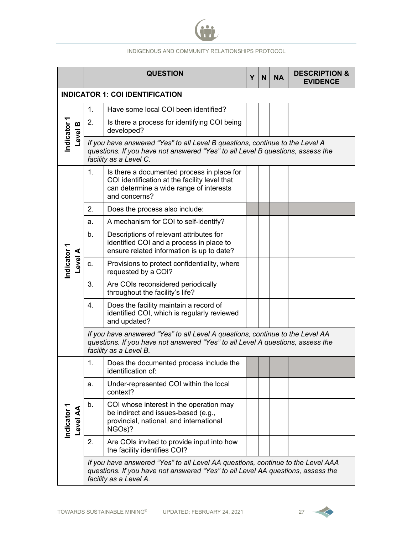

|                                        |    | <b>QUESTION</b>                                                                                                                                                                              | Y | N | <b>NA</b> | <b>DESCRIPTION &amp;</b><br><b>EVIDENCE</b> |  |
|----------------------------------------|----|----------------------------------------------------------------------------------------------------------------------------------------------------------------------------------------------|---|---|-----------|---------------------------------------------|--|
| <b>INDICATOR 1: COI IDENTIFICATION</b> |    |                                                                                                                                                                                              |   |   |           |                                             |  |
|                                        | 1. | Have some local COI been identified?                                                                                                                                                         |   |   |           |                                             |  |
| Indicator 1<br>Level B                 | 2. | Is there a process for identifying COI being<br>developed?                                                                                                                                   |   |   |           |                                             |  |
|                                        |    | If you have answered "Yes" to all Level B questions, continue to the Level A<br>questions. If you have not answered "Yes" to all Level B questions, assess the<br>facility as a Level C.     |   |   |           |                                             |  |
|                                        | 1. | Is there a documented process in place for<br>COI identification at the facility level that<br>can determine a wide range of interests<br>and concerns?                                      |   |   |           |                                             |  |
|                                        | 2. | Does the process also include:                                                                                                                                                               |   |   |           |                                             |  |
|                                        | a. | A mechanism for COI to self-identify?                                                                                                                                                        |   |   |           |                                             |  |
|                                        | b. | Descriptions of relevant attributes for<br>identified COI and a process in place to<br>ensure related information is up to date?                                                             |   |   |           |                                             |  |
| Indicator 1<br><b>Level</b>            | C. | Provisions to protect confidentiality, where<br>requested by a COI?                                                                                                                          |   |   |           |                                             |  |
|                                        | 3. | Are COIs reconsidered periodically<br>throughout the facility's life?                                                                                                                        |   |   |           |                                             |  |
|                                        | 4. | Does the facility maintain a record of<br>identified COI, which is regularly reviewed<br>and updated?                                                                                        |   |   |           |                                             |  |
|                                        |    | If you have answered "Yes" to all Level A questions, continue to the Level AA<br>questions. If you have not answered "Yes" to all Level A questions, assess the<br>facility as a Level B.    |   |   |           |                                             |  |
|                                        | 1. | Does the documented process include the<br>identification of:                                                                                                                                |   |   |           |                                             |  |
|                                        | a. | Under-represented COI within the local<br>context?                                                                                                                                           |   |   |           |                                             |  |
| Indicator 1<br>Level AA                | b. | COI whose interest in the operation may<br>be indirect and issues-based (e.g.,<br>provincial, national, and international<br>NGOs)?                                                          |   |   |           |                                             |  |
|                                        | 2. | Are COIs invited to provide input into how<br>the facility identifies COI?                                                                                                                   |   |   |           |                                             |  |
|                                        |    | If you have answered "Yes" to all Level AA questions, continue to the Level AAA<br>questions. If you have not answered "Yes" to all Level AA questions, assess the<br>facility as a Level A. |   |   |           |                                             |  |

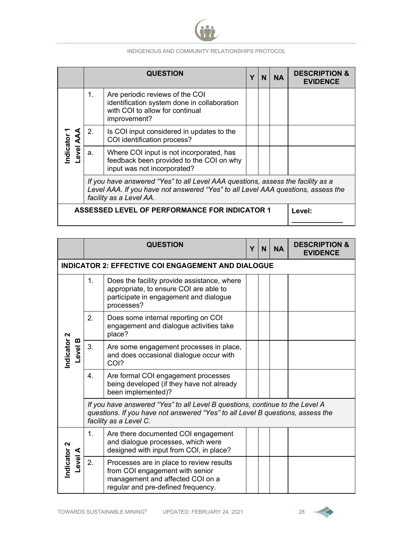

|                                                      |                                                                                                                                                                                                | <b>QUESTION</b>                                                                                                                   |  |  |  | <b>DESCRIPTION &amp;</b><br><b>EVIDENCE</b> |  |
|------------------------------------------------------|------------------------------------------------------------------------------------------------------------------------------------------------------------------------------------------------|-----------------------------------------------------------------------------------------------------------------------------------|--|--|--|---------------------------------------------|--|
|                                                      | 1.                                                                                                                                                                                             | Are periodic reviews of the COI<br>identification system done in collaboration<br>with COI to allow for continual<br>improvement? |  |  |  |                                             |  |
|                                                      | 2.                                                                                                                                                                                             | Is COI input considered in updates to the<br>COI identification process?                                                          |  |  |  |                                             |  |
| Indicator<br>evel AA                                 | a.                                                                                                                                                                                             | Where COI input is not incorporated, has<br>feedback been provided to the COI on why<br>input was not incorporated?               |  |  |  |                                             |  |
|                                                      | If you have answered "Yes" to all Level AAA questions, assess the facility as a<br>Level AAA. If you have not answered "Yes" to all Level AAA questions, assess the<br>facility as a Level AA. |                                                                                                                                   |  |  |  |                                             |  |
| <b>ASSESSED LEVEL OF PERFORMANCE FOR INDICATOR 1</b> |                                                                                                                                                                                                |                                                                                                                                   |  |  |  | Level:                                      |  |

|                                             | <b>QUESTION</b>                                                                                                                                                                          |                                                                                                                                                       |  | N | <b>NA</b> | <b>DESCRIPTION &amp;</b><br><b>EVIDENCE</b> |
|---------------------------------------------|------------------------------------------------------------------------------------------------------------------------------------------------------------------------------------------|-------------------------------------------------------------------------------------------------------------------------------------------------------|--|---|-----------|---------------------------------------------|
|                                             |                                                                                                                                                                                          | <b>INDICATOR 2: EFFECTIVE COI ENGAGEMENT AND DIALOGUE</b>                                                                                             |  |   |           |                                             |
| Indicator <sub>2</sub><br>Level B           | 1.                                                                                                                                                                                       | Does the facility provide assistance, where<br>appropriate, to ensure COI are able to<br>participate in engagement and dialogue<br>processes?         |  |   |           |                                             |
|                                             | 2.                                                                                                                                                                                       | Does some internal reporting on COI<br>engagement and dialogue activities take<br>place?                                                              |  |   |           |                                             |
|                                             | 3.                                                                                                                                                                                       | Are some engagement processes in place,<br>and does occasional dialogue occur with<br>COI?                                                            |  |   |           |                                             |
|                                             | 4.                                                                                                                                                                                       | Are formal COI engagement processes<br>being developed (if they have not already<br>been implemented)?                                                |  |   |           |                                             |
|                                             | If you have answered "Yes" to all Level B questions, continue to the Level A<br>questions. If you have not answered "Yes" to all Level B questions, assess the<br>facility as a Level C. |                                                                                                                                                       |  |   |           |                                             |
| Indicator <sub>2</sub><br><b>A</b><br>Pevel | 1.                                                                                                                                                                                       | Are there documented COI engagement<br>and dialogue processes, which were<br>designed with input from COI, in place?                                  |  |   |           |                                             |
|                                             | 2.                                                                                                                                                                                       | Processes are in place to review results<br>from COI engagement with senior<br>management and affected COI on a<br>regular and pre-defined frequency. |  |   |           |                                             |

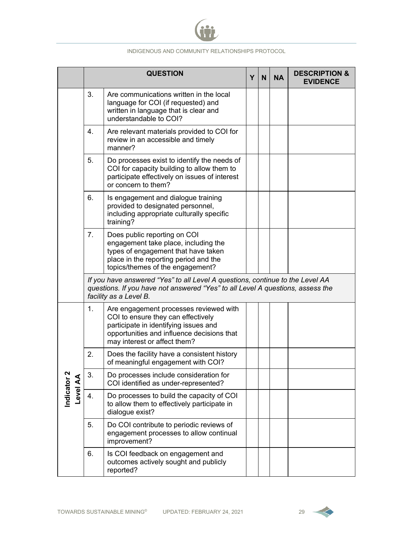

|                         |    | <b>QUESTION</b>                                                                                                                                                                                     | Y | N | <b>NA</b> | <b>DESCRIPTION &amp;</b><br><b>EVIDENCE</b> |
|-------------------------|----|-----------------------------------------------------------------------------------------------------------------------------------------------------------------------------------------------------|---|---|-----------|---------------------------------------------|
|                         | 3. | Are communications written in the local<br>language for COI (if requested) and<br>written in language that is clear and<br>understandable to COI?                                                   |   |   |           |                                             |
|                         | 4. | Are relevant materials provided to COI for<br>review in an accessible and timely<br>manner?                                                                                                         |   |   |           |                                             |
|                         | 5. | Do processes exist to identify the needs of<br>COI for capacity building to allow them to<br>participate effectively on issues of interest<br>or concern to them?                                   |   |   |           |                                             |
|                         | 6. | Is engagement and dialogue training<br>provided to designated personnel,<br>including appropriate culturally specific<br>training?                                                                  |   |   |           |                                             |
|                         | 7. | Does public reporting on COI<br>engagement take place, including the<br>types of engagement that have taken<br>place in the reporting period and the<br>topics/themes of the engagement?            |   |   |           |                                             |
|                         |    | If you have answered "Yes" to all Level A questions, continue to the Level AA<br>questions. If you have not answered "Yes" to all Level A questions, assess the<br>facility as a Level B.           |   |   |           |                                             |
|                         | 1. | Are engagement processes reviewed with<br>COI to ensure they can effectively<br>participate in identifying issues and<br>opportunities and influence decisions that<br>may interest or affect them? |   |   |           |                                             |
|                         | 2. | Does the facility have a consistent history<br>of meaningful engagement with COI?                                                                                                                   |   |   |           |                                             |
| Indicator 2<br>Level AA | 3. | Do processes include consideration for<br>COI identified as under-represented?                                                                                                                      |   |   |           |                                             |
|                         | 4. | Do processes to build the capacity of COI<br>to allow them to effectively participate in<br>dialogue exist?                                                                                         |   |   |           |                                             |
|                         | 5. | Do COI contribute to periodic reviews of<br>engagement processes to allow continual<br>improvement?                                                                                                 |   |   |           |                                             |
|                         | 6. | Is COI feedback on engagement and<br>outcomes actively sought and publicly<br>reported?                                                                                                             |   |   |           |                                             |

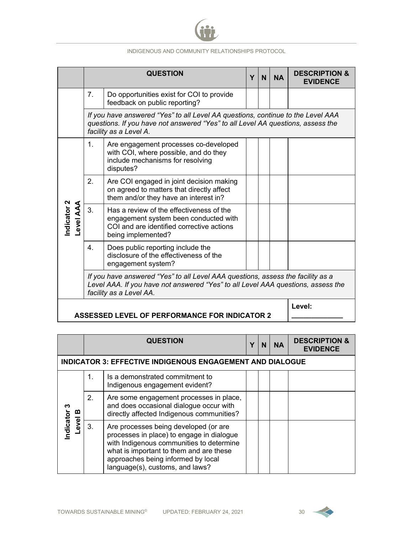

|                                                      |                                                                                                                                                                                                | <b>QUESTION</b>                                                                                                                                                                              | Y | N | <b>NA</b> | <b>DESCRIPTION &amp;</b><br><b>EVIDENCE</b> |  |  |  |
|------------------------------------------------------|------------------------------------------------------------------------------------------------------------------------------------------------------------------------------------------------|----------------------------------------------------------------------------------------------------------------------------------------------------------------------------------------------|---|---|-----------|---------------------------------------------|--|--|--|
|                                                      | 7 <sub>1</sub>                                                                                                                                                                                 | Do opportunities exist for COI to provide<br>feedback on public reporting?                                                                                                                   |   |   |           |                                             |  |  |  |
|                                                      |                                                                                                                                                                                                | If you have answered "Yes" to all Level AA questions, continue to the Level AAA<br>questions. If you have not answered "Yes" to all Level AA questions, assess the<br>facility as a Level A. |   |   |           |                                             |  |  |  |
| Indicator 2<br>Level AAA                             | $\mathbf{1}$ .                                                                                                                                                                                 | Are engagement processes co-developed<br>with COI, where possible, and do they<br>include mechanisms for resolving<br>disputes?                                                              |   |   |           |                                             |  |  |  |
|                                                      | 2.                                                                                                                                                                                             | Are COI engaged in joint decision making<br>on agreed to matters that directly affect<br>them and/or they have an interest in?                                                               |   |   |           |                                             |  |  |  |
|                                                      | 3.                                                                                                                                                                                             | Has a review of the effectiveness of the<br>engagement system been conducted with<br>COI and are identified corrective actions<br>being implemented?                                         |   |   |           |                                             |  |  |  |
|                                                      | $\mathbf{4}$ .                                                                                                                                                                                 | Does public reporting include the<br>disclosure of the effectiveness of the<br>engagement system?                                                                                            |   |   |           |                                             |  |  |  |
|                                                      | If you have answered "Yes" to all Level AAA questions, assess the facility as a<br>Level AAA. If you have not answered "Yes" to all Level AAA questions, assess the<br>facility as a Level AA. |                                                                                                                                                                                              |   |   |           |                                             |  |  |  |
| <b>ASSESSED LEVEL OF PERFORMANCE FOR INDICATOR 2</b> |                                                                                                                                                                                                |                                                                                                                                                                                              |   |   | Level:    |                                             |  |  |  |

|                                                                  | <b>QUESTION</b> |                                                                                                                                                                                                                                                    |  |  | <b>NA</b> | <b>DESCRIPTION &amp;</b><br><b>EVIDENCE</b> |  |  |
|------------------------------------------------------------------|-----------------|----------------------------------------------------------------------------------------------------------------------------------------------------------------------------------------------------------------------------------------------------|--|--|-----------|---------------------------------------------|--|--|
| <b>INDICATOR 3: EFFECTIVE INDIGENOUS ENGAGEMENT AND DIALOGUE</b> |                 |                                                                                                                                                                                                                                                    |  |  |           |                                             |  |  |
| ო<br>മ                                                           | 1.              | Is a demonstrated commitment to<br>Indigenous engagement evident?                                                                                                                                                                                  |  |  |           |                                             |  |  |
|                                                                  | 2.              | Are some engagement processes in place,<br>and does occasional dialogue occur with<br>directly affected Indigenous communities?                                                                                                                    |  |  |           |                                             |  |  |
| Indicator<br><b>Level</b>                                        | 3.              | Are processes being developed (or are<br>processes in place) to engage in dialogue<br>with Indigenous communities to determine<br>what is important to them and are these<br>approaches being informed by local<br>language(s), customs, and laws? |  |  |           |                                             |  |  |

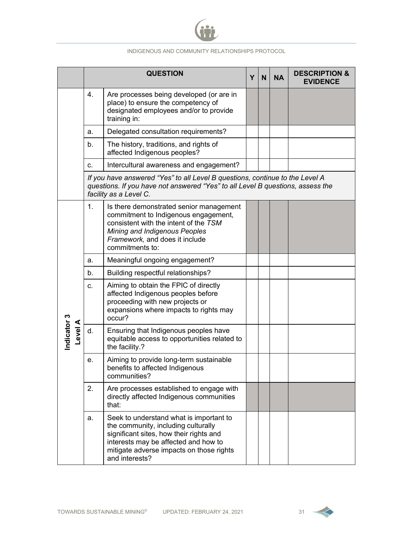

|                             |    | <b>QUESTION</b>                                                                                                                                                                                                                 | Y | N | <b>NA</b> | <b>DESCRIPTION &amp;</b><br><b>EVIDENCE</b> |  |  |
|-----------------------------|----|---------------------------------------------------------------------------------------------------------------------------------------------------------------------------------------------------------------------------------|---|---|-----------|---------------------------------------------|--|--|
|                             | 4. | Are processes being developed (or are in<br>place) to ensure the competency of<br>designated employees and/or to provide<br>training in:                                                                                        |   |   |           |                                             |  |  |
|                             | а. | Delegated consultation requirements?                                                                                                                                                                                            |   |   |           |                                             |  |  |
|                             | b. | The history, traditions, and rights of<br>affected Indigenous peoples?                                                                                                                                                          |   |   |           |                                             |  |  |
|                             | c. | Intercultural awareness and engagement?                                                                                                                                                                                         |   |   |           |                                             |  |  |
|                             |    | If you have answered "Yes" to all Level B questions, continue to the Level A<br>questions. If you have not answered "Yes" to all Level B questions, assess the<br>facility as a Level C.                                        |   |   |           |                                             |  |  |
|                             | 1. | Is there demonstrated senior management<br>commitment to Indigenous engagement,<br>consistent with the intent of the TSM<br>Mining and Indigenous Peoples<br>Framework, and does it include<br>commitments to:                  |   |   |           |                                             |  |  |
|                             | a. | Meaningful ongoing engagement?                                                                                                                                                                                                  |   |   |           |                                             |  |  |
|                             | b. | Building respectful relationships?                                                                                                                                                                                              |   |   |           |                                             |  |  |
|                             | c. | Aiming to obtain the FPIC of directly<br>affected Indigenous peoples before<br>proceeding with new projects or<br>expansions where impacts to rights may<br>occur?                                                              |   |   |           |                                             |  |  |
| Indicator 3<br><b>Level</b> | d. | Ensuring that Indigenous peoples have<br>equitable access to opportunities related to<br>the facility.?                                                                                                                         |   |   |           |                                             |  |  |
|                             | е. | Aiming to provide long-term sustainable<br>benefits to affected Indigenous<br>communities?                                                                                                                                      |   |   |           |                                             |  |  |
|                             | 2. | Are processes established to engage with<br>directly affected Indigenous communities<br>that:                                                                                                                                   |   |   |           |                                             |  |  |
|                             | a. | Seek to understand what is important to<br>the community, including culturally<br>significant sites, how their rights and<br>interests may be affected and how to<br>mitigate adverse impacts on those rights<br>and interests? |   |   |           |                                             |  |  |

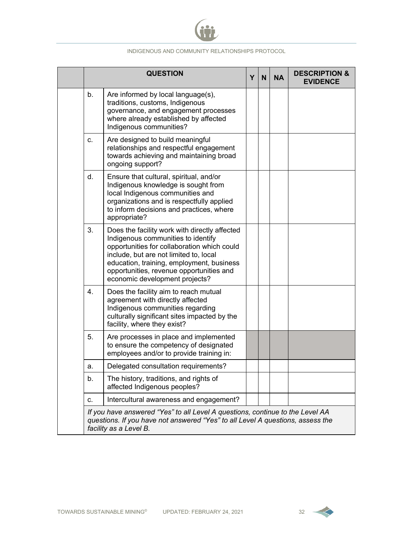

|                                                                                                                                                                                           | <b>QUESTION</b>                                                                                                                                                                                                                                                                                         | Y | N | <b>NA</b> | <b>DESCRIPTION &amp;</b><br><b>EVIDENCE</b> |
|-------------------------------------------------------------------------------------------------------------------------------------------------------------------------------------------|---------------------------------------------------------------------------------------------------------------------------------------------------------------------------------------------------------------------------------------------------------------------------------------------------------|---|---|-----------|---------------------------------------------|
| b.                                                                                                                                                                                        | Are informed by local language(s),<br>traditions, customs, Indigenous<br>governance, and engagement processes<br>where already established by affected<br>Indigenous communities?                                                                                                                       |   |   |           |                                             |
| C.                                                                                                                                                                                        | Are designed to build meaningful<br>relationships and respectful engagement<br>towards achieving and maintaining broad<br>ongoing support?                                                                                                                                                              |   |   |           |                                             |
| d.                                                                                                                                                                                        | Ensure that cultural, spiritual, and/or<br>Indigenous knowledge is sought from<br>local Indigenous communities and<br>organizations and is respectfully applied<br>to inform decisions and practices, where<br>appropriate?                                                                             |   |   |           |                                             |
| 3.                                                                                                                                                                                        | Does the facility work with directly affected<br>Indigenous communities to identify<br>opportunities for collaboration which could<br>include, but are not limited to, local<br>education, training, employment, business<br>opportunities, revenue opportunities and<br>economic development projects? |   |   |           |                                             |
| $\overline{4}$ .                                                                                                                                                                          | Does the facility aim to reach mutual<br>agreement with directly affected<br>Indigenous communities regarding<br>culturally significant sites impacted by the<br>facility, where they exist?                                                                                                            |   |   |           |                                             |
| 5.                                                                                                                                                                                        | Are processes in place and implemented<br>to ensure the competency of designated<br>employees and/or to provide training in:                                                                                                                                                                            |   |   |           |                                             |
| а.                                                                                                                                                                                        | Delegated consultation requirements?                                                                                                                                                                                                                                                                    |   |   |           |                                             |
| b.                                                                                                                                                                                        | The history, traditions, and rights of<br>affected Indigenous peoples?                                                                                                                                                                                                                                  |   |   |           |                                             |
| c.                                                                                                                                                                                        | Intercultural awareness and engagement?                                                                                                                                                                                                                                                                 |   |   |           |                                             |
| If you have answered "Yes" to all Level A questions, continue to the Level AA<br>questions. If you have not answered "Yes" to all Level A questions, assess the<br>facility as a Level B. |                                                                                                                                                                                                                                                                                                         |   |   |           |                                             |

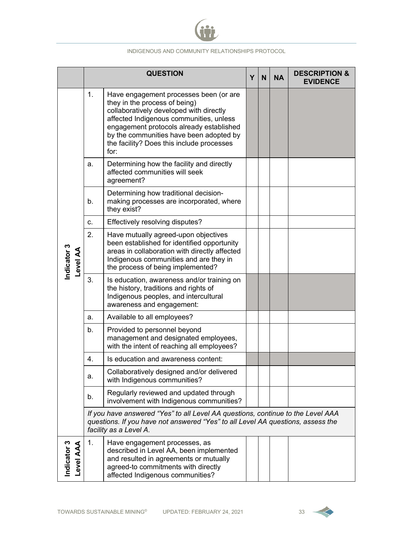

|                                 |                                                                                                                                                                                              | <b>QUESTION</b>                                                                                                                                                                                                                                                                                           | Υ | N | <b>NA</b> | <b>DESCRIPTION &amp;</b><br><b>EVIDENCE</b> |
|---------------------------------|----------------------------------------------------------------------------------------------------------------------------------------------------------------------------------------------|-----------------------------------------------------------------------------------------------------------------------------------------------------------------------------------------------------------------------------------------------------------------------------------------------------------|---|---|-----------|---------------------------------------------|
|                                 | 1.                                                                                                                                                                                           | Have engagement processes been (or are<br>they in the process of being)<br>collaboratively developed with directly<br>affected Indigenous communities, unless<br>engagement protocols already established<br>by the communities have been adopted by<br>the facility? Does this include processes<br>for: |   |   |           |                                             |
|                                 | a.                                                                                                                                                                                           | Determining how the facility and directly<br>affected communities will seek<br>agreement?                                                                                                                                                                                                                 |   |   |           |                                             |
|                                 | b <sub>1</sub>                                                                                                                                                                               | Determining how traditional decision-<br>making processes are incorporated, where<br>they exist?                                                                                                                                                                                                          |   |   |           |                                             |
|                                 | C.                                                                                                                                                                                           | Effectively resolving disputes?                                                                                                                                                                                                                                                                           |   |   |           |                                             |
| Indicator 3<br>AA leve-         | 2.                                                                                                                                                                                           | Have mutually agreed-upon objectives<br>been established for identified opportunity<br>areas in collaboration with directly affected<br>Indigenous communities and are they in<br>the process of being implemented?                                                                                       |   |   |           |                                             |
|                                 | 3.                                                                                                                                                                                           | Is education, awareness and/or training on<br>the history, traditions and rights of<br>Indigenous peoples, and intercultural<br>awareness and engagement:                                                                                                                                                 |   |   |           |                                             |
|                                 | a.                                                                                                                                                                                           | Available to all employees?                                                                                                                                                                                                                                                                               |   |   |           |                                             |
|                                 | b.                                                                                                                                                                                           | Provided to personnel beyond<br>management and designated employees,<br>with the intent of reaching all employees?                                                                                                                                                                                        |   |   |           |                                             |
|                                 | 4.                                                                                                                                                                                           | Is education and awareness content:                                                                                                                                                                                                                                                                       |   |   |           |                                             |
|                                 | a.                                                                                                                                                                                           | Collaboratively designed and/or delivered<br>with Indigenous communities?                                                                                                                                                                                                                                 |   |   |           |                                             |
|                                 | b.                                                                                                                                                                                           | Regularly reviewed and updated through<br>involvement with Indigenous communities?                                                                                                                                                                                                                        |   |   |           |                                             |
|                                 | If you have answered "Yes" to all Level AA questions, continue to the Level AAA<br>questions. If you have not answered "Yes" to all Level AA questions, assess the<br>facility as a Level A. |                                                                                                                                                                                                                                                                                                           |   |   |           |                                             |
| Indicator 3<br><b>Level AAA</b> | 1.                                                                                                                                                                                           | Have engagement processes, as<br>described in Level AA, been implemented<br>and resulted in agreements or mutually<br>agreed-to commitments with directly<br>affected Indigenous communities?                                                                                                             |   |   |           |                                             |

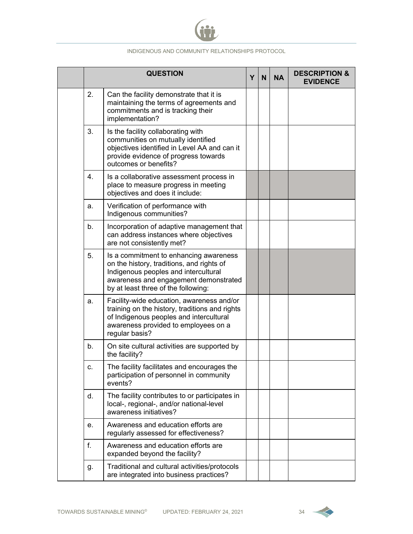

|                | <b>QUESTION</b>                                                                                                                                                                                             | Y | N <sub>1</sub> | <b>NA</b> | <b>DESCRIPTION &amp;</b><br><b>EVIDENCE</b> |
|----------------|-------------------------------------------------------------------------------------------------------------------------------------------------------------------------------------------------------------|---|----------------|-----------|---------------------------------------------|
| 2.             | Can the facility demonstrate that it is<br>maintaining the terms of agreements and<br>commitments and is tracking their<br>implementation?                                                                  |   |                |           |                                             |
| 3.             | Is the facility collaborating with<br>communities on mutually identified<br>objectives identified in Level AA and can it<br>provide evidence of progress towards<br>outcomes or benefits?                   |   |                |           |                                             |
| 4.             | Is a collaborative assessment process in<br>place to measure progress in meeting<br>objectives and does it include:                                                                                         |   |                |           |                                             |
| a.             | Verification of performance with<br>Indigenous communities?                                                                                                                                                 |   |                |           |                                             |
| b.             | Incorporation of adaptive management that<br>can address instances where objectives<br>are not consistently met?                                                                                            |   |                |           |                                             |
| 5.             | Is a commitment to enhancing awareness<br>on the history, traditions, and rights of<br>Indigenous peoples and intercultural<br>awareness and engagement demonstrated<br>by at least three of the following: |   |                |           |                                             |
| a.             | Facility-wide education, awareness and/or<br>training on the history, traditions and rights<br>of Indigenous peoples and intercultural<br>awareness provided to employees on a<br>regular basis?            |   |                |           |                                             |
| b <sub>1</sub> | On site cultural activities are supported by<br>the facility?                                                                                                                                               |   |                |           |                                             |
|                | The facility facilitates and encourages the<br>participation of personnel in community<br>events?                                                                                                           |   |                |           |                                             |
| d.             | The facility contributes to or participates in<br>local-, regional-, and/or national-level<br>awareness initiatives?                                                                                        |   |                |           |                                             |
| е.             | Awareness and education efforts are<br>regularly assessed for effectiveness?                                                                                                                                |   |                |           |                                             |
| f.             | Awareness and education efforts are<br>expanded beyond the facility?                                                                                                                                        |   |                |           |                                             |
| g.             | Traditional and cultural activities/protocols<br>are integrated into business practices?                                                                                                                    |   |                |           |                                             |

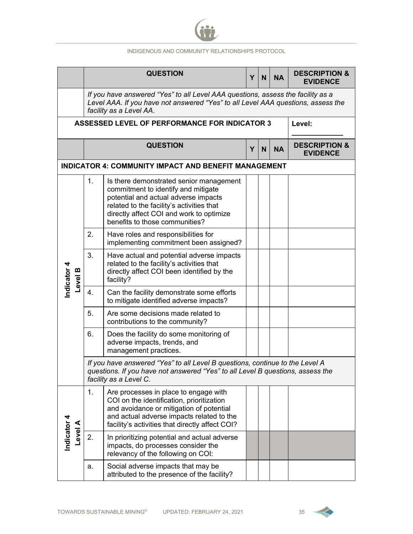

|             |                                                             |                                                                                                                                                                                          | <b>QUESTION</b><br>Y                                                                                                                                                                                                                              |                                             |  |  | <b>DESCRIPTION &amp;</b><br><b>EVIDENCE</b> |  |  |  |  |  |
|-------------|-------------------------------------------------------------|------------------------------------------------------------------------------------------------------------------------------------------------------------------------------------------|---------------------------------------------------------------------------------------------------------------------------------------------------------------------------------------------------------------------------------------------------|---------------------------------------------|--|--|---------------------------------------------|--|--|--|--|--|
|             |                                                             |                                                                                                                                                                                          | If you have answered "Yes" to all Level AAA questions, assess the facility as a<br>Level AAA. If you have not answered "Yes" to all Level AAA questions, assess the<br>facility as a Level AA.                                                    |                                             |  |  |                                             |  |  |  |  |  |
|             |                                                             | <b>ASSESSED LEVEL OF PERFORMANCE FOR INDICATOR 3</b>                                                                                                                                     | Level:                                                                                                                                                                                                                                            |                                             |  |  |                                             |  |  |  |  |  |
|             |                                                             |                                                                                                                                                                                          | <b>QUESTION</b>                                                                                                                                                                                                                                   | <b>DESCRIPTION &amp;</b><br><b>EVIDENCE</b> |  |  |                                             |  |  |  |  |  |
|             | <b>INDICATOR 4: COMMUNITY IMPACT AND BENEFIT MANAGEMENT</b> |                                                                                                                                                                                          |                                                                                                                                                                                                                                                   |                                             |  |  |                                             |  |  |  |  |  |
|             |                                                             | 1.                                                                                                                                                                                       | Is there demonstrated senior management<br>commitment to identify and mitigate<br>potential and actual adverse impacts<br>related to the facility's activities that<br>directly affect COI and work to optimize<br>benefits to those communities? |                                             |  |  |                                             |  |  |  |  |  |
|             |                                                             | 2.                                                                                                                                                                                       | Have roles and responsibilities for<br>implementing commitment been assigned?                                                                                                                                                                     |                                             |  |  |                                             |  |  |  |  |  |
| Indicator 4 | <b>Level B</b>                                              | 3.                                                                                                                                                                                       | Have actual and potential adverse impacts<br>related to the facility's activities that<br>directly affect COI been identified by the<br>facility?                                                                                                 |                                             |  |  |                                             |  |  |  |  |  |
|             |                                                             | $\overline{4}$ .                                                                                                                                                                         | Can the facility demonstrate some efforts<br>to mitigate identified adverse impacts?                                                                                                                                                              |                                             |  |  |                                             |  |  |  |  |  |
|             |                                                             | 5.                                                                                                                                                                                       | Are some decisions made related to<br>contributions to the community?                                                                                                                                                                             |                                             |  |  |                                             |  |  |  |  |  |
|             |                                                             | 6.                                                                                                                                                                                       | Does the facility do some monitoring of<br>adverse impacts, trends, and<br>management practices.                                                                                                                                                  |                                             |  |  |                                             |  |  |  |  |  |
|             |                                                             | If you have answered "Yes" to all Level B questions, continue to the Level A<br>questions. If you have not answered "Yes" to all Level B questions, assess the<br>facility as a Level C. |                                                                                                                                                                                                                                                   |                                             |  |  |                                             |  |  |  |  |  |
|             |                                                             | 1.                                                                                                                                                                                       | Are processes in place to engage with<br>COI on the identification, prioritization<br>and avoidance or mitigation of potential<br>and actual adverse impacts related to the<br>facility's activities that directly affect COI?                    |                                             |  |  |                                             |  |  |  |  |  |
| Indicator 4 | <b>Level A</b>                                              | 2.                                                                                                                                                                                       | In prioritizing potential and actual adverse<br>impacts, do processes consider the<br>relevancy of the following on COI:                                                                                                                          |                                             |  |  |                                             |  |  |  |  |  |
|             |                                                             | a.                                                                                                                                                                                       | Social adverse impacts that may be<br>attributed to the presence of the facility?                                                                                                                                                                 |                                             |  |  |                                             |  |  |  |  |  |

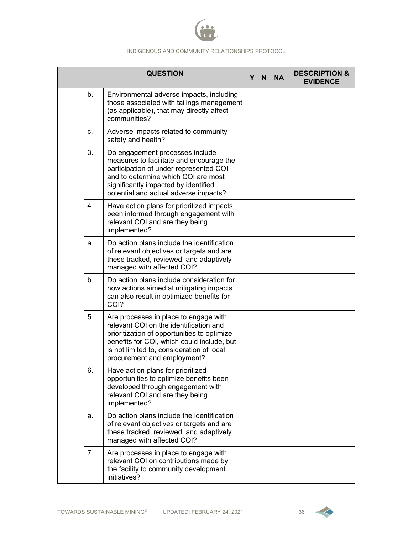

|                | <b>QUESTION</b>                                                                                                                                                                                                                                          | Υ | N <sub>1</sub> | <b>NA</b> | <b>DESCRIPTION &amp;</b><br><b>EVIDENCE</b> |
|----------------|----------------------------------------------------------------------------------------------------------------------------------------------------------------------------------------------------------------------------------------------------------|---|----------------|-----------|---------------------------------------------|
| b.             | Environmental adverse impacts, including<br>those associated with tailings management<br>(as applicable), that may directly affect<br>communities?                                                                                                       |   |                |           |                                             |
| C.             | Adverse impacts related to community<br>safety and health?                                                                                                                                                                                               |   |                |           |                                             |
| 3.             | Do engagement processes include<br>measures to facilitate and encourage the<br>participation of under-represented COI<br>and to determine which COI are most<br>significantly impacted by identified<br>potential and actual adverse impacts?            |   |                |           |                                             |
| 4.             | Have action plans for prioritized impacts<br>been informed through engagement with<br>relevant COI and are they being<br>implemented?                                                                                                                    |   |                |           |                                             |
| a.             | Do action plans include the identification<br>of relevant objectives or targets and are<br>these tracked, reviewed, and adaptively<br>managed with affected COI?                                                                                         |   |                |           |                                             |
| b <sub>1</sub> | Do action plans include consideration for<br>how actions aimed at mitigating impacts<br>can also result in optimized benefits for<br>COI?                                                                                                                |   |                |           |                                             |
| 5.             | Are processes in place to engage with<br>relevant COI on the identification and<br>prioritization of opportunities to optimize<br>benefits for COI, which could include, but<br>is not limited to, consideration of local<br>procurement and employment? |   |                |           |                                             |
| 6.             | Have action plans for prioritized<br>opportunities to optimize benefits been<br>developed through engagement with<br>relevant COI and are they being<br>implemented?                                                                                     |   |                |           |                                             |
| a.             | Do action plans include the identification<br>of relevant objectives or targets and are<br>these tracked, reviewed, and adaptively<br>managed with affected COI?                                                                                         |   |                |           |                                             |
| 7.             | Are processes in place to engage with<br>relevant COI on contributions made by<br>the facility to community development<br>initiatives?                                                                                                                  |   |                |           |                                             |

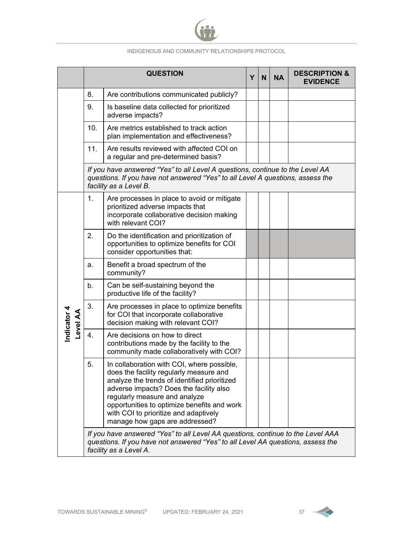

|                                |     | <b>QUESTION</b>                                                                                                                                                                                                                                                                                                                             | Υ | N <sub>1</sub> | <b>NA</b> | <b>DESCRIPTION &amp;</b><br><b>EVIDENCE</b> |  |  |  |  |
|--------------------------------|-----|---------------------------------------------------------------------------------------------------------------------------------------------------------------------------------------------------------------------------------------------------------------------------------------------------------------------------------------------|---|----------------|-----------|---------------------------------------------|--|--|--|--|
|                                | 8.  | Are contributions communicated publicly?                                                                                                                                                                                                                                                                                                    |   |                |           |                                             |  |  |  |  |
|                                | 9.  | Is baseline data collected for prioritized<br>adverse impacts?                                                                                                                                                                                                                                                                              |   |                |           |                                             |  |  |  |  |
|                                | 10. | Are metrics established to track action<br>plan implementation and effectiveness?                                                                                                                                                                                                                                                           |   |                |           |                                             |  |  |  |  |
|                                | 11. | Are results reviewed with affected COI on<br>a regular and pre-determined basis?                                                                                                                                                                                                                                                            |   |                |           |                                             |  |  |  |  |
|                                |     | If you have answered "Yes" to all Level A questions, continue to the Level AA<br>questions. If you have not answered "Yes" to all Level A questions, assess the<br>facility as a Level B.                                                                                                                                                   |   |                |           |                                             |  |  |  |  |
|                                | 1.  | Are processes in place to avoid or mitigate<br>prioritized adverse impacts that<br>incorporate collaborative decision making<br>with relevant COI?                                                                                                                                                                                          |   |                |           |                                             |  |  |  |  |
|                                | 2.  | Do the identification and prioritization of<br>opportunities to optimize benefits for COI<br>consider opportunities that:                                                                                                                                                                                                                   |   |                |           |                                             |  |  |  |  |
|                                | a.  | Benefit a broad spectrum of the<br>community?                                                                                                                                                                                                                                                                                               |   |                |           |                                             |  |  |  |  |
|                                | b.  | Can be self-sustaining beyond the<br>productive life of the facility?                                                                                                                                                                                                                                                                       |   |                |           |                                             |  |  |  |  |
| Indicator 4<br><b>Level AA</b> | 3.  | Are processes in place to optimize benefits<br>for COI that incorporate collaborative<br>decision making with relevant COI?                                                                                                                                                                                                                 |   |                |           |                                             |  |  |  |  |
|                                | 4.  | Are decisions on how to direct<br>contributions made by the facility to the<br>community made collaboratively with COI?                                                                                                                                                                                                                     |   |                |           |                                             |  |  |  |  |
|                                | 5.  | In collaboration with COI, where possible,<br>does the facility regularly measure and<br>analyze the trends of identified prioritized<br>adverse impacts? Does the facility also<br>regularly measure and analyze<br>opportunities to optimize benefits and work<br>with COI to prioritize and adaptively<br>manage how gaps are addressed? |   |                |           |                                             |  |  |  |  |
|                                |     | If you have answered "Yes" to all Level AA questions, continue to the Level AAA<br>questions. If you have not answered "Yes" to all Level AA questions, assess the<br>facility as a Level A.                                                                                                                                                |   |                |           |                                             |  |  |  |  |

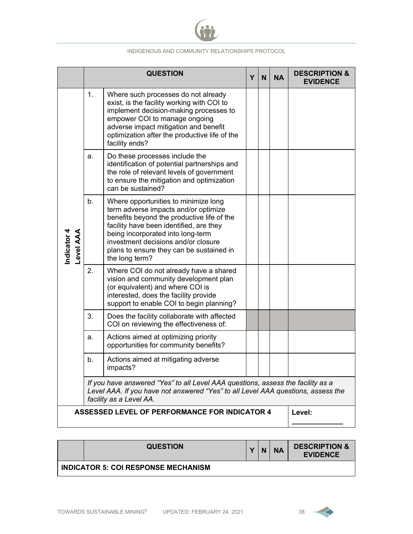

|                                                      |                                                                                                                                                                                                | <b>QUESTION</b>                                                                                                                                                                                                                                                                                                 | Y | N | <b>NA</b> | <b>DESCRIPTION &amp;</b><br><b>EVIDENCE</b> |  |
|------------------------------------------------------|------------------------------------------------------------------------------------------------------------------------------------------------------------------------------------------------|-----------------------------------------------------------------------------------------------------------------------------------------------------------------------------------------------------------------------------------------------------------------------------------------------------------------|---|---|-----------|---------------------------------------------|--|
|                                                      | 1.                                                                                                                                                                                             | Where such processes do not already<br>exist, is the facility working with COI to<br>implement decision-making processes to<br>empower COI to manage ongoing<br>adverse impact mitigation and benefit<br>optimization after the productive life of the<br>facility ends?                                        |   |   |           |                                             |  |
|                                                      | a.                                                                                                                                                                                             | Do these processes include the<br>identification of potential partnerships and<br>the role of relevant levels of government<br>to ensure the mitigation and optimization<br>can be sustained?                                                                                                                   |   |   |           |                                             |  |
| Indicator 4<br><b>Level AAA</b>                      | b.                                                                                                                                                                                             | Where opportunities to minimize long<br>term adverse impacts and/or optimize<br>benefits beyond the productive life of the<br>facility have been identified, are they<br>being incorporated into long-term<br>investment decisions and/or closure<br>plans to ensure they can be sustained in<br>the long term? |   |   |           |                                             |  |
|                                                      | 2.                                                                                                                                                                                             | Where COI do not already have a shared<br>vision and community development plan<br>(or equivalent) and where COI is<br>interested, does the facility provide<br>support to enable COI to begin planning?                                                                                                        |   |   |           |                                             |  |
|                                                      | 3.                                                                                                                                                                                             | Does the facility collaborate with affected<br>COI on reviewing the effectiveness of:                                                                                                                                                                                                                           |   |   |           |                                             |  |
|                                                      | a.                                                                                                                                                                                             | Actions aimed at optimizing priority<br>opportunities for community benefits?                                                                                                                                                                                                                                   |   |   |           |                                             |  |
|                                                      | b.                                                                                                                                                                                             | Actions aimed at mitigating adverse<br>impacts?                                                                                                                                                                                                                                                                 |   |   |           |                                             |  |
|                                                      | If you have answered "Yes" to all Level AAA questions, assess the facility as a<br>Level AAA. If you have not answered "Yes" to all Level AAA questions, assess the<br>facility as a Level AA. |                                                                                                                                                                                                                                                                                                                 |   |   |           |                                             |  |
| <b>ASSESSED LEVEL OF PERFORMANCE FOR INDICATOR 4</b> |                                                                                                                                                                                                |                                                                                                                                                                                                                                                                                                                 |   |   |           | Level:                                      |  |

| <b>QUESTION</b>                            | $\mathbf{v}$ | N | <b>NA</b> | <b>DESCRIPTION &amp;</b><br><b>EVIDENCE</b> |
|--------------------------------------------|--------------|---|-----------|---------------------------------------------|
| <b>INDICATOR 5: COI RESPONSE MECHANISM</b> |              |   |           |                                             |

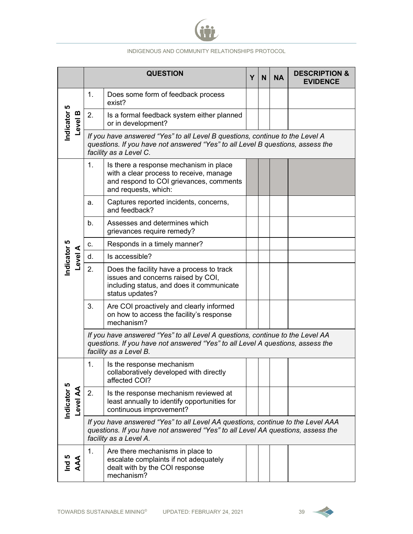

|                                |                                                                                                                                                                                           | <b>QUESTION</b>                                                                                                                                                                              | Y | N | <b>NA</b> | <b>DESCRIPTION &amp;</b><br><b>EVIDENCE</b> |  |
|--------------------------------|-------------------------------------------------------------------------------------------------------------------------------------------------------------------------------------------|----------------------------------------------------------------------------------------------------------------------------------------------------------------------------------------------|---|---|-----------|---------------------------------------------|--|
|                                | 1.                                                                                                                                                                                        | Does some form of feedback process<br>exist?                                                                                                                                                 |   |   |           |                                             |  |
| Indicator 5<br>Level B         | 2.                                                                                                                                                                                        | Is a formal feedback system either planned<br>or in development?                                                                                                                             |   |   |           |                                             |  |
|                                |                                                                                                                                                                                           | If you have answered "Yes" to all Level B questions, continue to the Level A<br>questions. If you have not answered "Yes" to all Level B questions, assess the<br>facility as a Level C.     |   |   |           |                                             |  |
|                                | 1.                                                                                                                                                                                        | Is there a response mechanism in place<br>with a clear process to receive, manage<br>and respond to COI grievances, comments<br>and requests, which:                                         |   |   |           |                                             |  |
|                                | a.                                                                                                                                                                                        | Captures reported incidents, concerns,<br>and feedback?                                                                                                                                      |   |   |           |                                             |  |
|                                | b <sub>1</sub>                                                                                                                                                                            | Assesses and determines which<br>grievances require remedy?                                                                                                                                  |   |   |           |                                             |  |
|                                | c.                                                                                                                                                                                        | Responds in a timely manner?                                                                                                                                                                 |   |   |           |                                             |  |
| Level A                        | d.                                                                                                                                                                                        | Is accessible?                                                                                                                                                                               |   |   |           |                                             |  |
| Indicator 5                    | 2.                                                                                                                                                                                        | Does the facility have a process to track<br>issues and concerns raised by COI,<br>including status, and does it communicate<br>status updates?                                              |   |   |           |                                             |  |
|                                | 3.                                                                                                                                                                                        | Are COI proactively and clearly informed<br>on how to access the facility's response<br>mechanism?                                                                                           |   |   |           |                                             |  |
|                                | If you have answered "Yes" to all Level A questions, continue to the Level AA<br>questions. If you have not answered "Yes" to all Level A questions, assess the<br>facility as a Level B. |                                                                                                                                                                                              |   |   |           |                                             |  |
|                                | 1.                                                                                                                                                                                        | Is the response mechanism<br>collaboratively developed with directly<br>affected COI?                                                                                                        |   |   |           |                                             |  |
| Indicator 5<br><b>PA level</b> | 2.                                                                                                                                                                                        | Is the response mechanism reviewed at<br>least annually to identify opportunities for<br>continuous improvement?                                                                             |   |   |           |                                             |  |
|                                |                                                                                                                                                                                           | If you have answered "Yes" to all Level AA questions, continue to the Level AAA<br>questions. If you have not answered "Yes" to all Level AA questions, assess the<br>facility as a Level A. |   |   |           |                                             |  |
| AAA<br>$\overline{B}$          | 1.                                                                                                                                                                                        | Are there mechanisms in place to<br>escalate complaints if not adequately<br>dealt with by the COI response<br>mechanism?                                                                    |   |   |           |                                             |  |

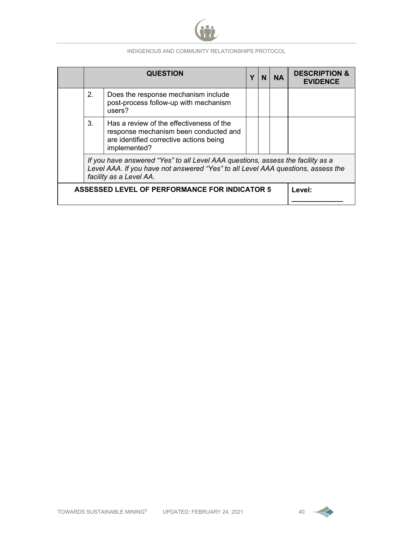

|                                                                                                                                                                                                |                                                      | <b>QUESTION</b>                                                                                                                              | Υ | N | <b>NA</b> | <b>DESCRIPTION &amp;</b><br><b>FVIDENCE</b> |
|------------------------------------------------------------------------------------------------------------------------------------------------------------------------------------------------|------------------------------------------------------|----------------------------------------------------------------------------------------------------------------------------------------------|---|---|-----------|---------------------------------------------|
|                                                                                                                                                                                                | 2.                                                   | Does the response mechanism include<br>post-process follow-up with mechanism<br>users?                                                       |   |   |           |                                             |
|                                                                                                                                                                                                | 3.                                                   | Has a review of the effectiveness of the<br>response mechanism been conducted and<br>are identified corrective actions being<br>implemented? |   |   |           |                                             |
| If you have answered "Yes" to all Level AAA questions, assess the facility as a<br>Level AAA. If you have not answered "Yes" to all Level AAA questions, assess the<br>facility as a Level AA. |                                                      |                                                                                                                                              |   |   |           |                                             |
|                                                                                                                                                                                                | <b>ASSESSED LEVEL OF PERFORMANCE FOR INDICATOR 5</b> |                                                                                                                                              |   |   |           | Level:                                      |